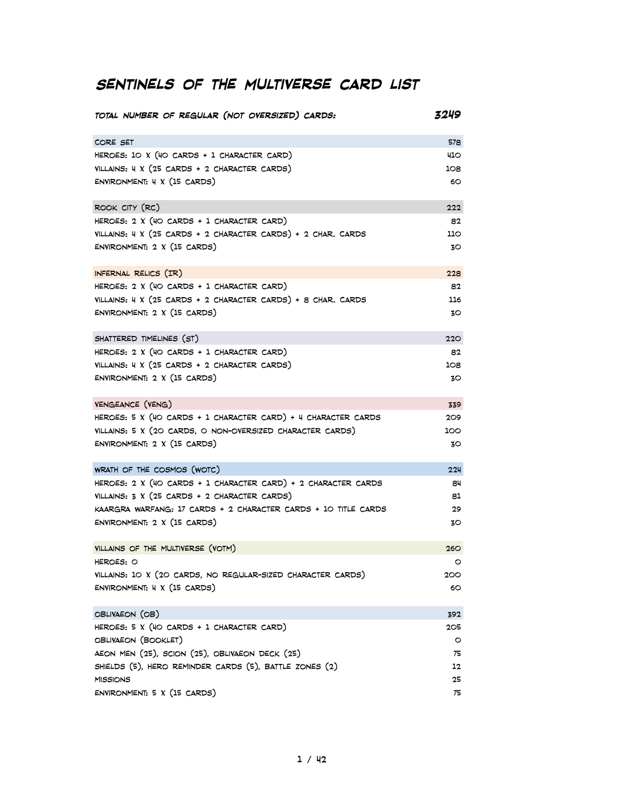# **Sentinels of the Multiverse card list**

| TOTAL NUMBER OF REGULAR (NOT OVERSIZED) CARDS:                      | 3249    |
|---------------------------------------------------------------------|---------|
| CORE SET                                                            | 578     |
| HEROES: $10 X (40 CARDS + 1 CHARACTER CARD)$                        | 410     |
| VILLAINS: 4 X (25 CARDS + 2 CHARACTER CARDS)                        | 108     |
| ENVIRONMENT: 4 X (15 CARDS)                                         | 60      |
| ROOK CITY (RC)                                                      | 222     |
| HEROES: 2 X (40 CARDS + 1 CHARACTER CARD)                           | 82      |
| VILLAINS: 4 X (25 CARDS + 2 CHARACTER CARDS) + 2 CHAR. CARDS        | 110     |
| ENVIRONMENT: 2 X (15 CARDS)                                         | 30      |
| INFERNAL RELICS (IR)                                                | 228     |
| HEROES: $2 \times (40 \text{ CARDS} + 1 \text{ CHARACTER CARD})$    | 82      |
| VILLAINS: 4 X (25 CARDS + 2 CHARACTER CARDS) + 8 CHAR. CARDS        | 116     |
| ENVIRONMENT: 2 X (15 CARDS)                                         | 30      |
| SHATTERED TIMELINES (ST)                                            | 220     |
| HEROES: $2 \times (40 \text{ CARDS} + 1 \text{ CHARACTER CARD})$    | 82      |
| VILLAINS: 4 X (25 CARDS + 2 CHARACTER CARDS)                        | 108     |
| ENVIRONMENT: 2 X (15 CARDS)                                         | 30      |
| VENGEANCE (VENG)                                                    | 339     |
| HEROES: 5 X (40 CARDS + 1 CHARACTER CARD) + 4 CHARACTER CARDS       | 209     |
| VILLAINS: 5 X (20 CARDS, O NON-OVERSIZED CHARACTER CARDS)           | 100     |
| ENVIRONMENT: 2 X (15 CARDS)                                         | 30      |
| WRATH OF THE COSMOS (WOTC)                                          | 224     |
| HEROES: 2 X (40 CARDS + 1 CHARACTER CARD) + 2 CHARACTER CARDS       | 84      |
| VILLAINS: $3 \times (25 \text{ CARDS} + 2 \text{ CHARACTER CARDS})$ | 81      |
| KAARGRA WARFANG: 17 CARDS + 2 CHARACTER CARDS + 10 TITLE CARDS      | 29      |
| ENVIRONMENT: 2 X (15 CARDS)                                         | 30      |
| VILLAINS OF THE MULTIVERSE (VOTM)                                   | 260     |
| HEROES: O                                                           | ပ       |
| VILLAINS: 10 X (20 CARDS, NO REGULAR-SIZED CHARACTER CARDS)         | 200     |
| ENVIRONMENT: 4 X (15 CARDS)                                         | 60      |
| OBLIVAEON (OB)                                                      | 392     |
| HEROES: 5 X (40 CARDS + 1 CHARACTER CARD)                           | 205     |
| OBLIVAEON (BOOKLET)                                                 | $\circ$ |
| AEON MEN (25), SCION (25), OBLIVAEON DECK (25)                      | 75      |
| SHIELDS (5), HERO REMINDER CARDS (5), BATTLE ZONES (2)              | 12      |
| <b>MISSIONS</b>                                                     | 25      |
| ENVIRONMENT: 5 X (15 CARDS)                                         | 75      |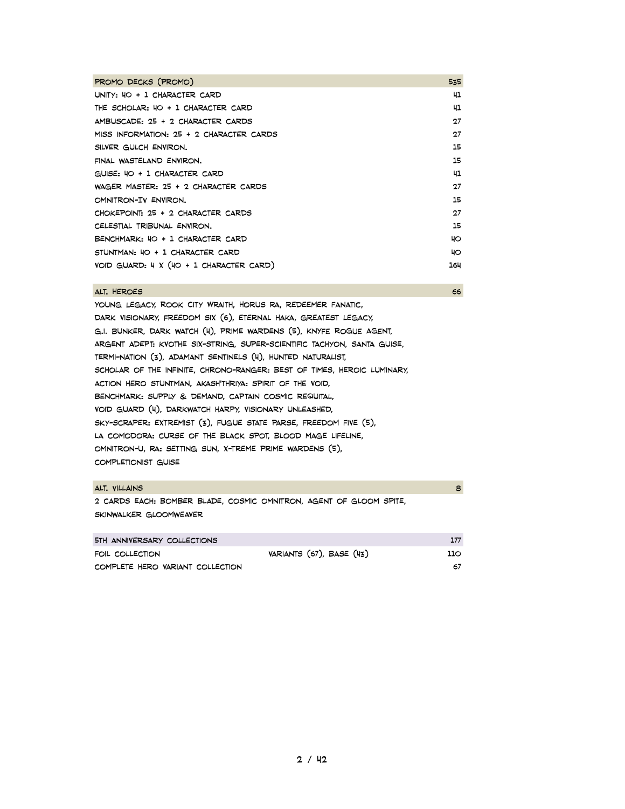| PROMO DECKS (PROMO)                         | 535 |
|---------------------------------------------|-----|
| $UNITY: HO + I CHARACTER CARD$              | 41  |
| THE SCHOLAR: 40 + 1 CHARACTER CARD          | 41  |
| AMBUSCADE: 25 + 2 CHARACTER CARDS           | 27  |
| MISS INFORMATION: 25 + 2 CHARACTER CARDS    | 27  |
| SILVER GULCH ENVIRON.                       | 15  |
| FINAL WASTELAND ENVIRON.                    | 15  |
| GUISE: 40 + 1 CHARACTER CARD                | 41  |
| WAGER MASTER: 25 + 2 CHARACTER CARDS        | 27  |
| OMNITRON-IV ENVIRON.                        | 15  |
| CHOKEPOINT: 25 + 2 CHARACTER CARDS          | 27  |
| CELESTIAL TRIBUNAL ENVIRON.                 | 15  |
| BENCHMARK: 40 + 1 CHARACTER CARD            | 40  |
| STUNTMAN: 40 + 1 CHARACTER CARD             | 40  |
| $VOID$ GUARD: $4 X (4O + 1$ CHARACTER CARD) | 164 |

#### alt. Heroes 66

Young Legacy, Rook City Wraith, Horus ra, redeemer fanatic, dark visionary, Freedom six (6), eternal haka, greatest legacy, g.i. Bunker, dark watch (4), prime wardens (5), KNYFE ROGUE AGENT, Argent adept: kvothe six-string, super-scientific tachyon, santa guise, termi-nation (3), adamant sentinels (4), hunted naturalist, scholar of the infinite, chrono-ranger: best of times, heroic luminary, action hero stuntman, akash'thriya: spirit of the void, benchmark: supply & demand, captain cosmic requital, void guard (4), darkwatch harpy, visionary unleashed, sky-scraper: extremist (3), fugue state parse, freedom five (5), la comodora: curse of the black spot, blood mage lifeline, omnitron-u, ra: setting sun, x-treme prime wardens (5), completionist guise

#### alt. Villains 8

2 cards each: bomber blade, cosmic omnitron, Agent of gloom spite, skinwalker gloomweaver

| 5TH ANNIVERSARY COLLECTIONS      |                          |     |
|----------------------------------|--------------------------|-----|
| FOIL COLLECTION                  | VARIANTS (67), BASE (43) | 110 |
| COMPLETE HERO VARIANT COLLECTION |                          | 67  |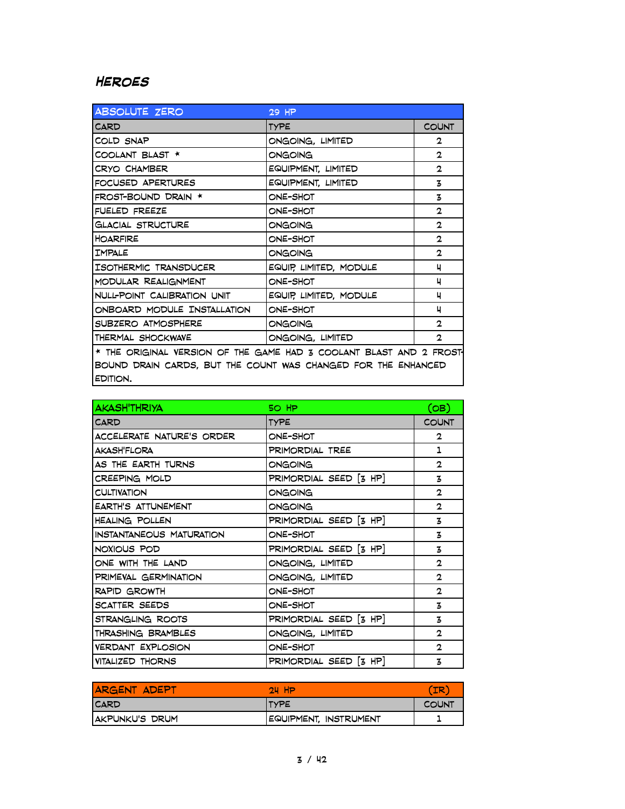## **Heroes**

| ABSOLUTE ZERO                                                             | 29 HP                  |              |
|---------------------------------------------------------------------------|------------------------|--------------|
| <b>CARD</b>                                                               | <b>TYPE</b>            | <b>COUNT</b> |
| COLD SNAP                                                                 | ONGOING, LIMITED       | 2            |
| COOLANT BLAST *                                                           | ONGOING                | $\mathbf{2}$ |
| CRYO CHAMBER                                                              | EQUIPMENT, LIMITED     | $\mathbf{2}$ |
| FOCUSED APERTURES                                                         | EQUIPMENT, LIMITED     | 3            |
| FROST-BOUND DRAIN *                                                       | ONE-SHOT               | 3            |
| FUELED FREEZE                                                             | ONE-SHOT               | $\mathbf{2}$ |
| <b>GLACIAL STRUCTURE</b>                                                  | ONGOING                | $\mathbf{2}$ |
| <b>HOARFIRE</b>                                                           | ONE-SHOT               | $\mathbf{2}$ |
| <b>TMPALE</b>                                                             | ONGOING                | $\mathbf{2}$ |
| ISOTHERMIC TRANSDUCER                                                     | EQUIP, LIMITED, MODULE | ч            |
| MODULAR REALIGNMENT                                                       | ONE-SHOT               | ч            |
| NULL-POINT CALIBRATION UNIT                                               | EQUIP, LIMITED, MODULE | ц            |
| ONBOARD MODULE INSTALLATION                                               | ONE-SHOT               | ч            |
| SUBZERO ATMOSPHERE                                                        | ONGOING                | $\mathbf{2}$ |
| THERMAL SHOCKWAVE                                                         | ONGOING, LIMITED       | $\mathbf{2}$ |
| * THE ORIGINAL VERSION OF THE GAME HAD 3 COOLANT BLAST AND 2 FROST        |                        |              |
| BOUND DRAIN CARDS, BUT THE COUNT WAS CHANGED FOR THE ENHANCED<br>EDITION. |                        |              |

| <b>AKASH'THRIYA</b>             | 50 HP                  | (OB)         |
|---------------------------------|------------------------|--------------|
| CARD                            | TYPE                   | <b>COUNT</b> |
| ACCELERATE NATURE'S ORDER       | ONE-SHOT               | $\mathbf{2}$ |
| AKASH'FLORA                     | PRIMORDIAL TREE        | 1            |
| AS THE EARTH TURNS              | ONGOING                | $\mathbf{2}$ |
| CREEPING MOLD                   | PRIMORDIAL SEED [3 HP] | 3            |
| <b>CULTIVATION</b>              | ONGOING                | $\mathbf{2}$ |
| EARTH'S ATTUNEMENT              | ONGOING                | $\mathbf{2}$ |
| <b>HEALING POLLEN</b>           | PRIMORDIAL SEED [3 HP] | 3            |
| <b>INSTANTANEOUS MATURATION</b> | ONE-SHOT               | 3            |
| NOXIOUS POD                     | PRIMORDIAL SEED [3 HP] | 3            |
| ONE WITH THE LAND               | ONGOING, LIMITED       | $\mathbf{2}$ |
| PRIMEVAL GERMINATION            | ONGOING, LIMITED       | $\mathbf{2}$ |
| <b>RAPID GROWTH</b>             | ONE-SHOT               | $\mathbf{2}$ |
| SCATTER SEEDS                   | ONE-SHOT               | 3            |
| STRANGLING ROOTS                | PRIMORDIAL SEED [3 HP] | 3            |
| THRASHING BRAMBLES              | ONGOING, LIMITED       | $\mathbf{2}$ |
| <b>VERDANT EXPLOSION</b>        | ONE-SHOT               | $\mathbf{2}$ |
| VITALIZED THORNS                | PRIMORDIAL SEED [3 HP] | 3            |

| <b>ARGENT ADEPT</b> | 24 H                  | <b>IR</b>    |
|---------------------|-----------------------|--------------|
| <b>CARD</b>         | <b>ITYPE</b>          | <b>COUNT</b> |
| AKPUNKU'S DRUM      | EQUIPMENT, INSTRUMENT |              |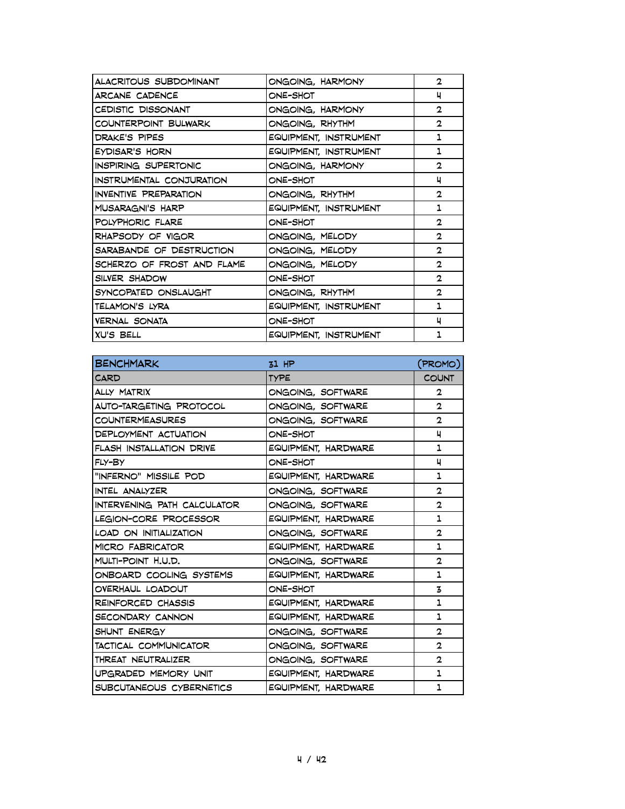| ALACRITOUS SUBDOMINANT       | ONGOING, HARMONY      | $\mathbf{2}$ |
|------------------------------|-----------------------|--------------|
| ARCANE CADENCE               | ONE-SHOT              | ч            |
| CEDISTIC DISSONANT           | ONGOING, HARMONY      | $\mathbf{2}$ |
| COUNTERPOINT BULWARK         | ONGOING, RHYTHM       | $\mathbf{2}$ |
| DRAKE'S PIPES                | EQUIPMENT, INSTRUMENT | 1            |
| EYDISAR'S HORN               | EQUIPMENT, INSTRUMENT | 1            |
| <b>INSPIRING SUPERTONIC</b>  | ONGOING, HARMONY      | 2            |
| INSTRUMENTAL CONJURATION     | ONE-SHOT              | ц            |
| <b>INVENTIVE PREPARATION</b> | ONGOING, RHYTHM       | $\mathbf{2}$ |
| MUSARAGNI'S HARP             | EQUIPMENT, INSTRUMENT | 1            |
| POLYPHORIC FLARE             | ONE-SHOT              | 2            |
| RHAPSODY OF VIGOR            | ONGOING, MELODY       | $\mathbf{2}$ |
| SARABANDE OF DESTRUCTION     | ONGOING, MELODY       | 2            |
| SCHERZO OF FROST AND FLAME   | ONGOING, MELODY       | $\mathbf{2}$ |
| SILVER SHADOW                | ONE-SHOT              | 2            |
| SYNCOPATED ONSLAUGHT         | ONGOING, RHYTHM       | $\mathbf{2}$ |
| TELAMON'S LYRA               | EQUIPMENT, INSTRUMENT | 1            |
| VERNAL SONATA                | ONE-SHOT              | ц            |
| <b>XU'S BELL</b>             | EQUIPMENT, INSTRUMENT |              |

| <b>BENCHMARK</b>            | $31$ HP             | (PROMO)        |
|-----------------------------|---------------------|----------------|
| <b>CARD</b>                 | <b>TYPE</b>         | <b>COUNT</b>   |
| <b>ALLY MATRIX</b>          | ONGOING, SOFTWARE   | 2              |
| AUTO-TARGETING PROTOCOL     | ONGOING, SOFTWARE   | $\mathbf{2}$   |
| <b>COUNTERMEASURES</b>      | ONGOING, SOFTWARE   | 2              |
| DEPLOYMENT ACTUATION        | ONE-SHOT            | ч              |
| FLASH INSTALLATION DRIVE    | EQUIPMENT, HARDWARE | 1              |
| FLY-BY                      | ONE-SHOT            | ч              |
| "INFERNO" MISSILE POD       | EQUIPMENT, HARDWARE | 1              |
| INTEL ANALYZER              | ONGOING, SOFTWARE   | $\overline{2}$ |
| INTERVENING PATH CALCULATOR | ONGOING, SOFTWARE   | 2              |
| LEGION-CORE PROCESSOR       | EQUIPMENT, HARDWARE | 1              |
| LOAD ON INITIALIZATION      | ONGOING, SOFTWARE   | 2              |
| <b>MICRO FABRICATOR</b>     | EQUIPMENT, HARDWARE | 1              |
| MULTI-POINT H.U.D.          | ONGOING, SOFTWARE   | $\mathbf{2}$   |
| ONBOARD COOLING SYSTEMS     | EQUIPMENT, HARDWARE | 1              |
| OVERHAUL LOADOUT            | ONE-SHOT            | z              |
| REINFORCED CHASSIS          | EQUIPMENT, HARDWARE | 1              |
| SECONDARY CANNON            | EQUIPMENT, HARDWARE | 1              |
| SHUNT ENERGY                | ONGOING, SOFTWARE   | 2              |
| TACTICAL COMMUNICATOR       | ONGOING, SOFTWARE   | 2              |
| THREAT NEUTRALIZER          | ONGOING, SOFTWARE   | 2              |
| UPGRADED MEMORY UNIT        | EQUIPMENT, HARDWARE | 1              |
| SUBCUTANEOUS CYBERNETICS    | EQUIPMENT, HARDWARE | 1              |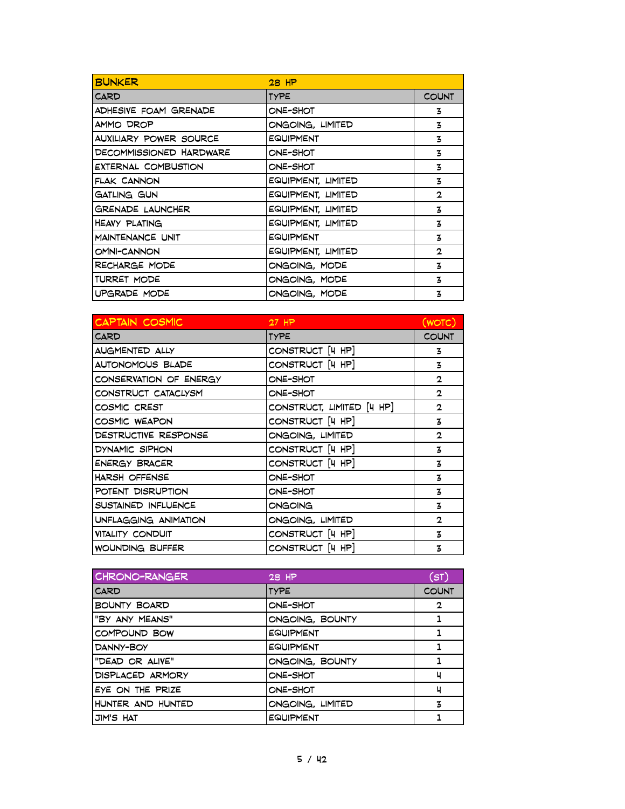| <b>BUNKER</b>              | $28$ HP            |              |
|----------------------------|--------------------|--------------|
| CARD                       | <b>TYPE</b>        | <b>COUNT</b> |
| ADHESIVE FOAM GRENADE      | ONE-SHOT           | 3            |
| AMMO DROP                  | ONGOING, LIMITED   | 3            |
| AUXILIARY POWER SOURCE     | EQUIPMENT          | 3            |
| DECOMMISSIONED HARDWARE    | ONE-SHOT           | 3            |
| <b>EXTERNAL COMBUSTION</b> | ONE-SHOT           | 3            |
| FLAK CANNON                | EQUIPMENT, LIMITED | 3            |
| GATLING GUN                | EQUIPMENT, LIMITED | $\mathbf{2}$ |
| GRENADE LAUNCHER           | EQUIPMENT, LIMITED | 3            |
| <b>HEAVY PLATING</b>       | EQUIPMENT, LIMITED | 3            |
| MAINTENANCE UNIT           | <b>EQUIPMENT</b>   | 3            |
| OMNI-CANNON                | EQUIPMENT, LIMITED | $\mathbf{2}$ |
| RECHARGE MODE              | ONGOING, MODE      | 3            |
| TURRET MODE                | ONGOING, MODE      | 3            |
| UPGRADE MODE               | ONGOING, MODE      | 3            |

| CAPTAIN COSMIC          | $27$ HP                   | (WOTC)       |
|-------------------------|---------------------------|--------------|
| CARD                    | <b>TYPE</b>               | <b>COUNT</b> |
| <b>AUGMENTED ALLY</b>   | CONSTRUCT [4 HP]          | 3            |
| AUTONOMOUS BLADE        | CONSTRUCT [4 HP]          | 3            |
| CONSERVATION OF ENERGY  | ONE-SHOT                  | $\mathbf{2}$ |
| CONSTRUCT CATACLYSM     | ONE-SHOT                  | $\mathbf{2}$ |
| COSMIC CREST            | CONSTRUCT, LIMITED [4 HP] | $\mathbf{2}$ |
| COSMIC WEAPON           | CONSTRUCT [4 HP]          | 3            |
| DESTRUCTIVE RESPONSE    | ONGOING, LIMITED          | $\mathbf{2}$ |
| DYNAMIC SIPHON          | CONSTRUCT [4 HP]          | 3            |
| <b>ENERGY BRACER</b>    | CONSTRUCT [4 HP]          | 3            |
| HARSH OFFENSE           | ONE-SHOT                  | 3            |
| POTENT DISRUPTION       | ONE-SHOT                  | 3            |
| SUSTAINED INFLUENCE     | ONGOING                   | 3            |
| UNFLAGGING ANIMATION    | ONGOING, LIMITED          | $\mathbf{2}$ |
| <b>VITALITY CONDUIT</b> | CONSTRUCT [4 HP]          | 3            |
| WOUNDING BUFFER         | CONSTRUCT [4 HP]          | 3            |

| CHRONO-RANGER       | 28 HP            | (ST)         |
|---------------------|------------------|--------------|
| <b>CARD</b>         | <b>TYPE</b>      | <b>COUNT</b> |
| <b>BOUNTY BOARD</b> | ONE-SHOT         | $\mathbf{2}$ |
| "BY ANY MEANS"      | ONGOING, BOUNTY  |              |
| COMPOUND BOW        | EQUIPMENT        |              |
| DANNY-BOY           | EQUIPMENT        |              |
| "DEAD OR ALIVE"     | ONGOING, BOUNTY  | 1            |
| DISPLACED ARMORY    | <b>ONE-SHOT</b>  | ч            |
| EYE ON THE PRIZE    | ONE-SHOT         | ч            |
| HUNTER AND HUNTED   | ONGOING, LIMITED | 3            |
| JIM'S HAT           | EQUIPMENT        |              |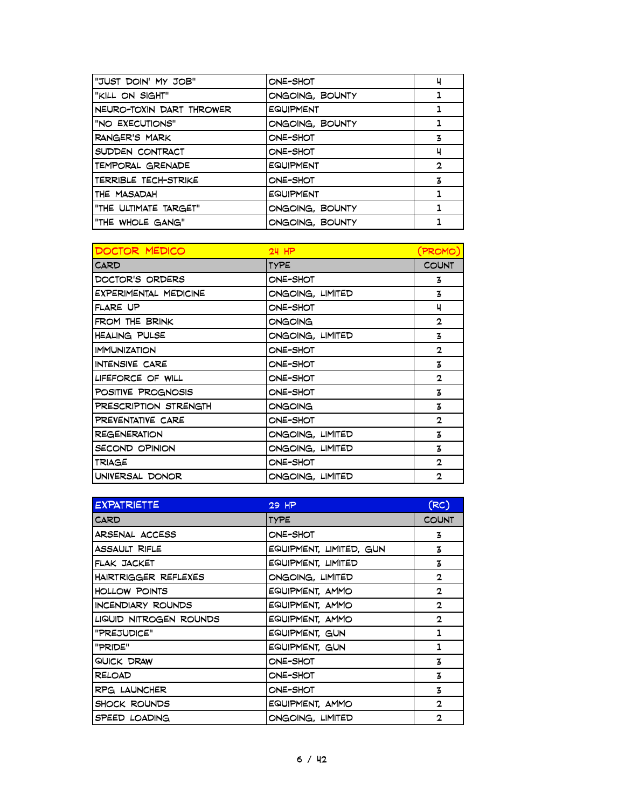| "JUST DOIN' MY JOB"      | ONE-SHOT         | ч            |
|--------------------------|------------------|--------------|
| "KILL ON SIGHT"          | ONGOING, BOUNTY  |              |
| NEURO-TOXIN DART THROWER | <b>EQUIPMENT</b> |              |
| "NO EXECUTIONS"          | ONGOING, BOUNTY  |              |
| RANGER'S MARK            | ONE-SHOT         | 3            |
| SUDDEN CONTRACT          | ONE-SHOT         | ч            |
| TEMPORAL GRENADE         | <b>EQUIPMENT</b> | $\mathbf{2}$ |
| TERRIBLE TECH-STRIKE     | ONE-SHOT         | 3            |
| THE MASADAH              | <b>EQUIPMENT</b> |              |
| "THE ULTIMATE TARGET"    | ONGOING, BOUNTY  |              |
| "THE WHOLE GANG"         | ONGOING, BOUNTY  |              |

| DOCTOR MEDICO                | $24$ HP          | PROMO)       |
|------------------------------|------------------|--------------|
| CARD                         | <b>TYPE</b>      | <b>COUNT</b> |
| DOCTOR'S ORDERS              | ONE-SHOT         | 3            |
| <b>EXPERIMENTAL MEDICINE</b> | ONGOING, LIMITED | 3            |
| FLARE UP                     | ONE-SHOT         | ц            |
| FROM THE BRINK               | ONGOING          | $\mathbf{2}$ |
| <b>HEALING PULSE</b>         | ONGOING, LIMITED | $\mathbf{z}$ |
| <b>IMMUNIZATION</b>          | ONE-SHOT         | $\mathbf{2}$ |
| INTENSIVE CARE               | ONE-SHOT         | 3            |
| LIFEFORCE OF WILL            | ONE-SHOT         | $\mathbf{2}$ |
| POSITIVE PROGNOSIS           | ONE-SHOT         | 3            |
| PRESCRIPTION STRENGTH        | ONGOING          | $\mathbf{z}$ |
| PREVENTATIVE CARE            | ONE-SHOT         | $\mathbf{2}$ |
| <b>REGENERATION</b>          | ONGOING, LIMITED | 3            |
| SECOND OPINION               | ONGOING, LIMITED | 3            |
| TRIAGE                       | ONE-SHOT         | $\mathbf{2}$ |
| UNIVERSAL DONOR              | ONGOING, LIMITED | $\mathbf{2}$ |

| <b>EXPATRIETTE</b>     | 29 HP                   | (RC)         |
|------------------------|-------------------------|--------------|
| CARD                   | <b>TYPE</b>             | <b>COUNT</b> |
| ARSENAL ACCESS         | ONE-SHOT                | 3            |
| <b>ASSAULT RIFLE</b>   | EQUIPMENT, LIMITED, GUN | 3            |
| FLAK JACKET            | EQUIPMENT, LIMITED      | 3            |
| HAIRTRIGGER REFLEXES   | ONGOING, LIMITED        | $\mathbf{2}$ |
| <b>HOLLOW POINTS</b>   | EQUIPMENT, AMMO         | $\mathbf{2}$ |
| INCENDIARY ROUNDS      | EQUIPMENT, AMMO         | $\mathbf{2}$ |
| LIQUID NITROGEN ROUNDS | EQUIPMENT, AMMO         | $\mathbf{2}$ |
| "PREJUDICE"            | EQUIPMENT, GUN          | 1            |
| "PRIDE"                | EQUIPMENT, GUN          | 1            |
| QUICK DRAW             | ONE-SHOT                | 3            |
| <b>RELOAD</b>          | ONE-SHOT                | 3            |
| RPG LAUNCHER           | ONE-SHOT                | 3            |
| SHOCK ROUNDS           | EQUIPMENT, AMMO         | $\mathbf{2}$ |
| SPEED LOADING          | ONGOING, LIMITED        | $\mathbf{2}$ |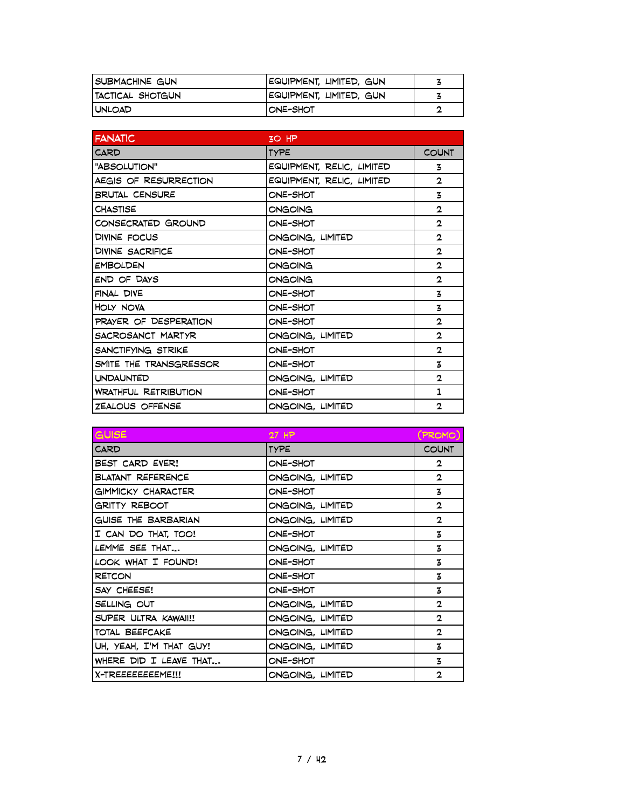| ISUBMACHINE GUN          | EQUIPMENT, LIMITED, GUN |  |
|--------------------------|-------------------------|--|
| <b>ITACTICAL SHOTGUN</b> | EQUIPMENT, LIMITED, GUN |  |
| <b>I UNLOAD</b>          | IONE-SHOT               |  |

| <b>FANATIC</b>              | 3O HP                     |              |
|-----------------------------|---------------------------|--------------|
| CARD                        | <b>TYPE</b>               | <b>COUNT</b> |
| "ABSOLUTION"                | EQUIPMENT, RELIC, LIMITED | 3            |
| AEGIS OF RESURRECTION       | EQUIPMENT, RELIC, LIMITED | $\mathbf{2}$ |
| <b>BRUTAL CENSURE</b>       | ONE-SHOT                  | 3            |
| <b>CHASTISE</b>             | ONGOING                   | $\mathbf{2}$ |
| CONSECRATED GROUND          | ONE-SHOT                  | $\mathbf{2}$ |
| DIVINE FOCUS                | ONGOING, LIMITED          | $\mathbf{2}$ |
| DIVINE SACRIFICE            | ONE-SHOT                  | $\mathbf{2}$ |
| <b>EMBOLDEN</b>             | ONGOING                   | $\mathbf{2}$ |
| END OF DAYS                 | ONGOING                   | $\mathbf{2}$ |
| FINAL DIVE                  | ONE-SHOT                  | 3            |
| HOLY NOVA                   | ONE-SHOT                  | 3            |
| PRAYER OF DESPERATION       | ONE-SHOT                  | $\mathbf{2}$ |
| SACROSANCT MARTYR           | ONGOING, LIMITED          | $\mathbf{2}$ |
| SANCTIFYING STRIKE          | ONE-SHOT                  | $\mathbf{2}$ |
| SMITE THE TRANSGRESSOR      | ONE-SHOT                  | 3            |
| <b>UNDAUNTED</b>            | ONGOING, LIMITED          | $\mathbf{2}$ |
| <b>WRATHFUL RETRIBUTION</b> | ONE-SHOT                  | 1            |
| ZEALOUS OFFENSE             | ONGOING, LIMITED          | $\mathbf{2}$ |

| <b>GUISE</b>             | 27 HP            | PROMO)       |
|--------------------------|------------------|--------------|
| <b>CARD</b>              | <b>TYPE</b>      | <b>COUNT</b> |
| BEST CARD EVER!          | ONE-SHOT         | 2            |
| <b>BLATANT REFERENCE</b> | ONGOING, LIMITED | $\mathbf{2}$ |
| GIMMICKY CHARACTER       | ONE-SHOT         | 3            |
| GRITTY REBOOT            | ONGOING, LIMITED | $\mathbf{2}$ |
| GUISE THE BARBARIAN      | ONGOING, LIMITED | $\mathbf{2}$ |
| I CAN DO THAT, TOO!      | ONE-SHOT         | 3            |
| LEMME SEE THAT           | ONGOING, LIMITED | 3            |
| LOOK WHAT I FOUND!       | ONE-SHOT         | 3            |
| <b>RETCON</b>            | ONE-SHOT         | 3            |
| SAY CHEESE!              | ONE-SHOT         | 3            |
| SELLING OUT              | ONGOING, LIMITED | $\mathbf{2}$ |
| SUPER ULTRA KAWAII!!     | ONGOING, LIMITED | $\mathbf{2}$ |
| TOTAL BEEFCAKE           | ONGOING, LIMITED | $\mathbf{2}$ |
| UH, YEAH, I'M THAT GUY!  | ONGOING, LIMITED | 3            |
| WHERE DID I LEAVE THAT   | ONE-SHOT         | 3            |
| X-TREEEEEEEME!!!         | ONGOING, LIMITED | $\mathbf{2}$ |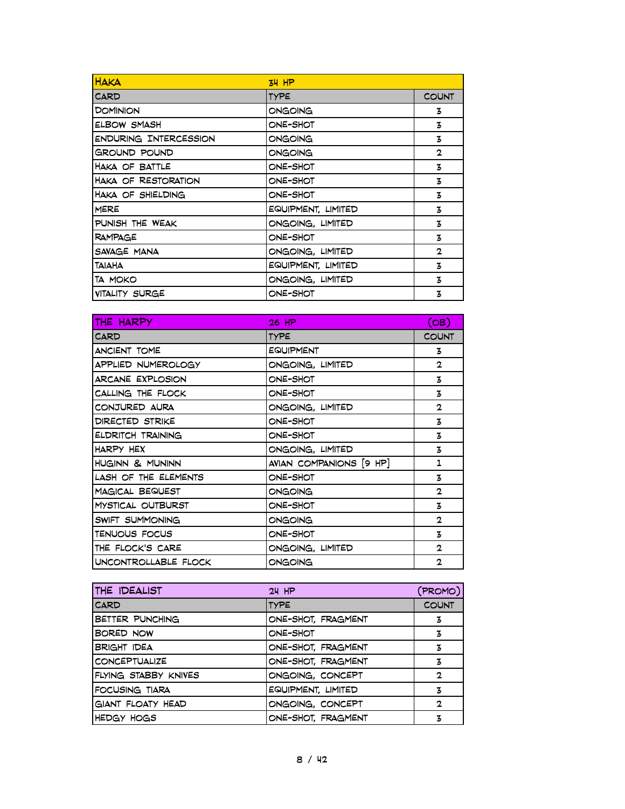| <b>HAKA</b>                  | $34$ HP            |              |
|------------------------------|--------------------|--------------|
| <b>CARD</b>                  | <b>TYPE</b>        | <b>COUNT</b> |
| <b>DOMINION</b>              | ONGOING            | 3            |
| <b>ELBOW SMASH</b>           | ONE-SHOT           | 3            |
| <b>ENDURING INTERCESSION</b> | ONGOING            | 3            |
| GROUND POUND                 | ONGOING            | $\mathbf{2}$ |
| HAKA OF BATTLE               | ONE-SHOT           | z            |
| <b>HAKA OF RESTORATION</b>   | ONE-SHOT           | z            |
| HAKA OF SHIELDING            | ONE-SHOT           | 3            |
| <b>MERE</b>                  | EQUIPMENT, LIMITED | 3            |
| PUNISH THE WEAK              | ONGOING, LIMITED   | 3            |
| <b>RAMPAGE</b>               | ONE-SHOT           | 3            |
| SAVAGE MANA                  | ONGOING, LIMITED   | $\mathbf{2}$ |
| <b>TAIAHA</b>                | EQUIPMENT, LIMITED | 3            |
| TA MOKO                      | ONGOING, LIMITED   | 3            |
| VITALITY SURGE               | ONE-SHOT           | 3            |

| THE HARPY              | 26 HP                   | (OB)         |
|------------------------|-------------------------|--------------|
| <b>CARD</b>            | <b>TYPE</b>             | <b>COUNT</b> |
| ANCIENT TOME           | <b>EQUIPMENT</b>        | 3            |
| APPLIED NUMEROLOGY     | ONGOING, LIMITED        | $\mathbf{2}$ |
| ARCANE EXPLOSION       | ONE-SHOT                | 3            |
| CALLING THE FLOCK      | ONE-SHOT                | 3            |
| CONJURED AURA          | ONGOING, LIMITED        | $\mathbf{2}$ |
| <b>DIRECTED STRIKE</b> | ONE-SHOT                | 3            |
| ELDRITCH TRAINING      | ONE-SHOT                | 3            |
| HARPY HEX              | ONGOING, LIMITED        | 3            |
| HUGINN & MUNINN        | AVIAN COMPANIONS [9 HP] | 1            |
| LASH OF THE ELEMENTS   | ONE-SHOT                | 3            |
| <b>MAGICAL BEQUEST</b> | ONGOING                 | $\mathbf{2}$ |
| MYSTICAL OUTBURST      | ONE-SHOT                | 3            |
| SWIFT SUMMONING        | ONGOING                 | $\mathbf{2}$ |
| TENUOUS FOCUS          | ONE-SHOT                | 3            |
| THE FLOCK'S CARE       | ONGOING, LIMITED        | 2            |
| UNCONTROLLABLE FLOCK   | ONGOING                 | 2            |

| THE IDEALIST         | $24$ HP            | (PROMO)      |
|----------------------|--------------------|--------------|
| <b>CARD</b>          | <b>TYPE</b>        | <b>COUNT</b> |
| BETTER PUNCHING      | ONE-SHOT, FRAGMENT | 3            |
| BORED NOW            | ONE-SHOT           | 3            |
| <b>BRIGHT IDEA</b>   | ONE-SHOT, FRAGMENT | 3            |
| <b>CONCEPTUALIZE</b> | ONE-SHOT, FRAGMENT | 3            |
| FLYING STABBY KNIVES | ONGOING, CONCEPT   | 2            |
| FOCUSING TIARA       | EQUIPMENT, LIMITED | 3            |
| GIANT FLOATY HEAD    | ONGOING, CONCEPT   | $\mathbf{2}$ |
| HEDGY HOGS           | ONE-SHOT, FRAGMENT | 3            |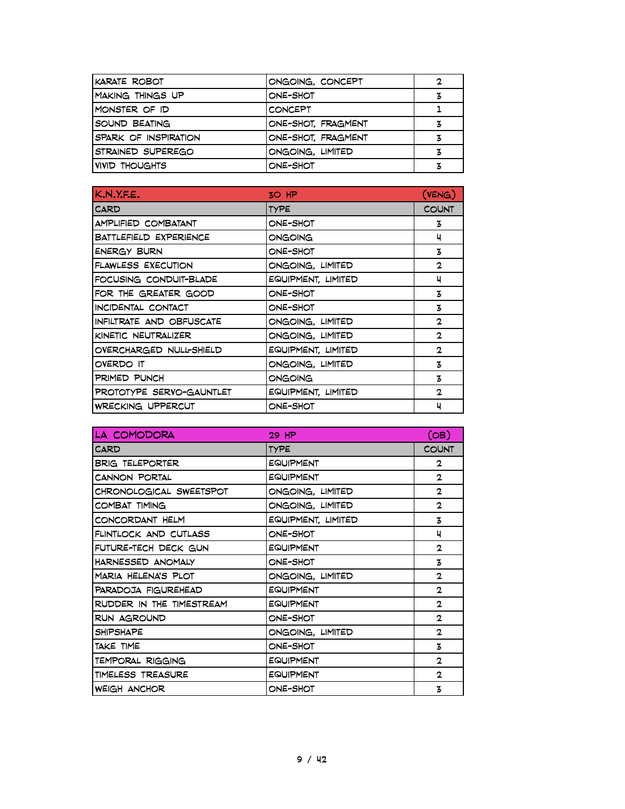| KARATE ROBOT            | ONGOING, CONCEPT   | 2 |
|-------------------------|--------------------|---|
| <b>MAKING THINGS UP</b> | ONE-SHOT           | 3 |
| MONSTER OF ID           | <b>CONCEPT</b>     |   |
| SOUND BEATING           | ONE-SHOT, FRAGMENT | 3 |
| SPARK OF INSPIRATION    | ONE-SHOT, FRAGMENT |   |
| STRAINED SUPEREGO       | ONGOING, LIMITED   | z |
| IVIVID THOUGHTS         | ONE-SHOT           |   |

| K.N.Y.F.E.                | $30$ HP            | (VENG)       |
|---------------------------|--------------------|--------------|
| CARD                      | <b>TYPE</b>        | <b>COUNT</b> |
| AMPLIFIED COMBATANT       | ONE-SHOT           | 3            |
| BATTLEFIELD EXPERIENCE    | ONGOING            | ч            |
| <b>ENERGY BURN</b>        | ONE-SHOT           | 3            |
| <b>FLAWLESS EXECUTION</b> | ONGOING, LIMITED   | $\mathbf{2}$ |
| FOCUSING CONDUIT-BLADE    | EQUIPMENT, LIMITED | ч            |
| FOR THE GREATER GOOD      | ONE-SHOT           | 3            |
| INCIDENTAL CONTACT        | ONE-SHOT           | 3            |
| INFILTRATE AND OBFUSCATE  | ONGOING, LIMITED   | $\mathbf{2}$ |
| KINETIC NEUTRALIZER       | ONGOING, LIMITED   | $\mathbf{2}$ |
| OVERCHARGED NULL-SHIELD   | EQUIPMENT, LIMITED | $\mathbf{2}$ |
| OVERDO IT                 | ONGOING, LIMITED   | 3            |
| PRIMED PUNCH              | ONGOING            | 3            |
| PROTOTYPE SERVO-GAUNTLET  | EQUIPMENT, LIMITED | $\mathbf{2}$ |
| <b>WRECKING UPPERCUT</b>  | ONE-SHOT           | 4            |

| LA COMODORA              | 29 HP              | (OB)         |
|--------------------------|--------------------|--------------|
| CARD                     | <b>TYPE</b>        | <b>COUNT</b> |
| <b>BRIG TELEPORTER</b>   | EQUIPMENT          | 2            |
| CANNON PORTAL            | EQUIPMENT          | $\mathbf{2}$ |
| CHRONOLOGICAL SWEETSPOT  | ONGOING, LIMITED   | $\mathbf{2}$ |
| COMBAT TIMING            | ONGOING, LIMITED   | $\mathbf{2}$ |
| CONCORDANT HELM          | EQUIPMENT, LIMITED | 3            |
| FLINTLOCK AND CUTLASS    | ONE-SHOT           | ч            |
| FUTURE-TECH DECK GUN     | EQUIPMENT          | $\mathbf{2}$ |
| HARNESSED ANOMALY        | ONE-SHOT           | 3            |
| MARIA HELENA'S PLOT      | ONGOING, LIMITED   | $\mathbf{2}$ |
| PARADOJA FIGUREHEAD      | EQUIPMENT          | $\mathbf{2}$ |
| RUDDER IN THE TIMESTREAM | EQUIPMENT          | $\mathbf{2}$ |
| RUN AGROUND              | ONE-SHOT           | $\mathbf{2}$ |
| <b>SHIPSHAPE</b>         | ONGOING, LIMITED   | $\mathbf{2}$ |
| TAKE TIME                | ONE-SHOT           | $\mathbf{z}$ |
| TEMPORAL RIGGING         | EQUIPMENT          | $\mathbf{2}$ |
| TIMELESS TREASURE        | <b>EQUIPMENT</b>   | $\mathbf{2}$ |
| <b>WEIGH ANCHOR</b>      | ONE-SHOT           | 3            |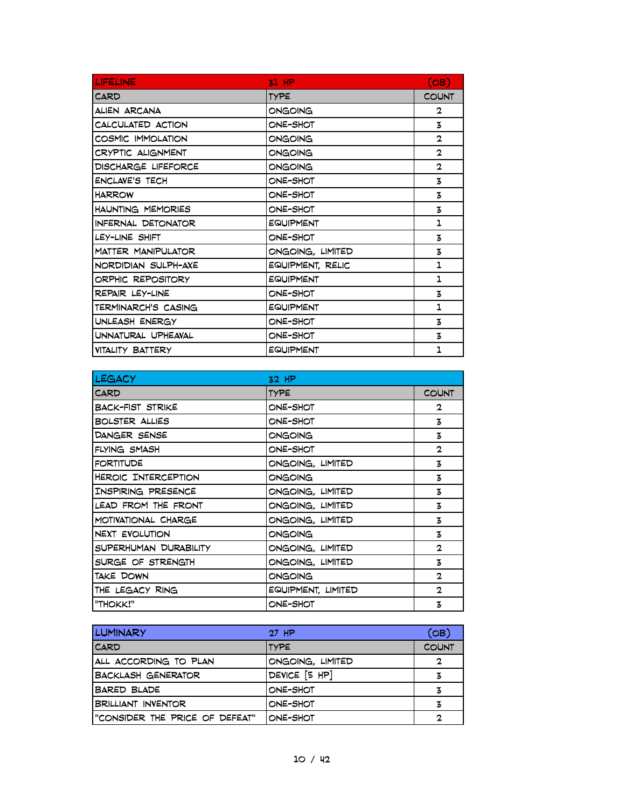| <b>LIFELINE</b>           | $21$ HP          | (OB)         |
|---------------------------|------------------|--------------|
| CARD                      | <b>TYPE</b>      | <b>COUNT</b> |
| ALIEN ARCANA              | ONGOING          | 2            |
| CALCULATED ACTION         | ONE-SHOT         | 3            |
| COSMIC IMMOLATION         | ONGOING          | $\mathbf{2}$ |
| CRYPTIC ALIGNMENT         | ONGOING          | $\mathbf{2}$ |
| DISCHARGE LIFEFORCE       | ONGOING          | $\mathbf{2}$ |
| <b>ENCLAVE'S TECH</b>     | ONE-SHOT         | 3            |
| <b>HARROW</b>             | ONE-SHOT         | 3            |
| HAUNTING MEMORIES         | ONE-SHOT         | 3            |
| INFERNAL DETONATOR        | EQUIPMENT        | 1            |
| LEY-LINE SHIFT            | ONE-SHOT         | 3            |
| <b>MATTER MANIPULATOR</b> | ONGOING, LIMITED | 3            |
| NORDIDIAN SULPH-AXE       | EQUIPMENT, RELIC | 1            |
| ORPHIC REPOSITORY         | EQUIPMENT        | 1            |
| REPAIR LEY-LINE           | ONE-SHOT         | 3            |
| TERMINARCH'S CASING       | <b>EQUIPMENT</b> | 1            |
| UNLEASH ENERGY            | ONE-SHOT         | 3            |
| UNNATURAL UPHEAVAL        | ONE-SHOT         | 3            |
| VITALITY BATTERY          | <b>EQUIPMENT</b> | 1            |

| <b>LEGACY</b>           | $32$ HP            |                |
|-------------------------|--------------------|----------------|
| <b>CARD</b>             | <b>TYPE</b>        | <b>COUNT</b>   |
| <b>BACK-FIST STRIKE</b> | ONE-SHOT           | $\mathbf{2}$   |
| <b>BOLSTER ALLIES</b>   | ONE-SHOT           | 3              |
| DANGER SENSE            | ONGOING            | 3              |
| <b>FLYING SMASH</b>     | ONE-SHOT           | $\mathbf{2}$   |
| <b>FORTITUDE</b>        | ONGOING, LIMITED   | 3              |
| HEROIC INTERCEPTION     | ONGOING            | 3              |
| IINSPIRING PRESENCE     | ONGOING, LIMITED   | 3              |
| LEAD FROM THE FRONT     | ONGOING, LIMITED   | 3              |
| I MOTIVATIONAL CHARGE   | ONGOING, LIMITED   | 3              |
| NEXT EVOLUTION          | ONGOING            | 3              |
| SUPERHUMAN DURABILITY   | ONGOING, LIMITED   | $\mathbf{2}$   |
| SURGE OF STRENGTH       | ONGOING, LIMITED   | 3              |
| TAKE DOWN               | <b>ONGOING</b>     | $\overline{2}$ |
| ITHE LEGACY RING        | EQUIPMENT, LIMITED | $\mathbf{2}$   |
| l"THOKK!"               | ONE-SHOT           | 3              |

| <b>LUMINARY</b>                 | $27$ HP          | (OB)         |
|---------------------------------|------------------|--------------|
| <b>CARD</b>                     | <b>ITYPE</b>     | <b>COUNT</b> |
| ALL ACCORDING TO PLAN           | ONGOING, LIMITED | 2            |
| <b>BACKLASH GENERATOR</b>       | DEVICE [5 HP]    | 3            |
| <b>BARED BLADE</b>              | ONE-SHOT         | 3            |
| <b>BRILLIANT INVENTOR</b>       | ONE-SHOT         | 3            |
| I"CONSIDER THE PRICE OF DEFEAT" | ONE-SHOT         | 2            |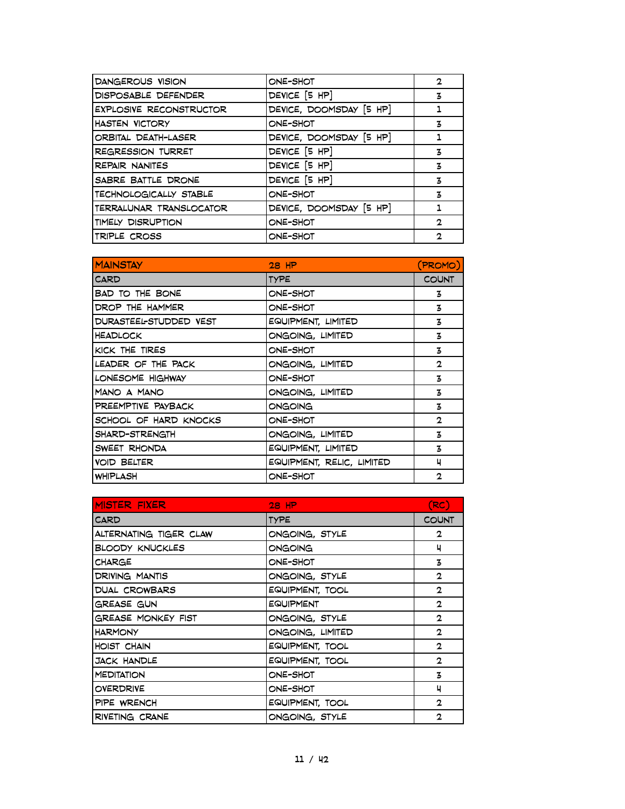| DANGEROUS VISION               | ONE-SHOT                | 2            |
|--------------------------------|-------------------------|--------------|
| DISPOSABLE DEFENDER            | DEVICE [5 HP]           | 3            |
| <b>EXPLOSIVE RECONSTRUCTOR</b> | DEVICE, DOOMSDAY [5 HP] |              |
| <b>HASTEN VICTORY</b>          | ONE-SHOT                | 3            |
| ORBITAL DEATH-LASER            | DEVICE, DOOMSDAY [5 HP] |              |
| <b>REGRESSION TURRET</b>       | DEVICE [5 HP]           | 3            |
| <b>REPAIR NANITES</b>          | DEVICE [5 HP]           | 3            |
| SABRE BATTLE DRONE             | DEVICE [5 HP]           | 3            |
| TECHNOLOGICALLY STABLE         | ONE-SHOT                | 3            |
| TERRALUNAR TRANSLOCATOR        | DEVICE, DOOMSDAY [5 HP] |              |
| TIMELY DISRUPTION              | ONE-SHOT                | $\mathbf{2}$ |
| TRIPLE CROSS                   | ONE-SHOT                | 2            |

| <b>MAINSTAY</b>        | $28$ HP                   | (PROMO)      |
|------------------------|---------------------------|--------------|
| CARD                   | <b>TYPE</b>               | <b>COUNT</b> |
| BAD TO THE BONE        | ONE-SHOT                  | 3            |
| DROP THE HAMMER        | ONE-SHOT                  | 3            |
| DURASTEEL-STUDDED VEST | EQUIPMENT, LIMITED        | 3            |
| <b>HEADLOCK</b>        | ONGOING, LIMITED          | 3            |
| KICK THE TIRES         | ONE-SHOT                  | 3            |
| LEADER OF THE PACK     | ONGOING, LIMITED          | $\mathbf{2}$ |
| LONESOME HIGHWAY       | ONE-SHOT                  | 3            |
| MANO A MANO            | ONGOING, LIMITED          | 3            |
| PREEMPTIVE PAYBACK     | ONGOING                   | 3            |
| SCHOOL OF HARD KNOCKS  | ONE-SHOT                  | $\mathbf{2}$ |
| SHARD-STRENGTH         | ONGOING, LIMITED          | 3            |
| SWEET RHONDA           | EQUIPMENT, LIMITED        | 3            |
| <b>VOID BELTER</b>     | EQUIPMENT, RELIC, LIMITED | ч            |
| <b>WHIPLASH</b>        | ONE-SHOT                  | $\mathbf{2}$ |

| <b>MISTER FIXER</b>       | $28$ HP          | (RC)         |
|---------------------------|------------------|--------------|
| <b>CARD</b>               | <b>TYPE</b>      | <b>COUNT</b> |
| ALTERNATING TIGER CLAW    | ONGOING, STYLE   | $\mathbf{2}$ |
| <b>BLOODY KNUCKLES</b>    | ONGOING          | ч            |
| <b>CHARGE</b>             | ONE-SHOT         | 3            |
| <b>DRIVING MANTIS</b>     | ONGOING, STYLE   | $\mathbf{2}$ |
| DUAL CROWBARS             | EQUIPMENT, TOOL  | $\mathbf{2}$ |
| GREASE GUN                | <b>EQUIPMENT</b> | $\mathbf{2}$ |
| <b>GREASE MONKEY FIST</b> | ONGOING, STYLE   | $\mathbf{2}$ |
| <b>HARMONY</b>            | ONGOING, LIMITED | $\mathbf{2}$ |
| <b>HOIST CHAIN</b>        | EQUIPMENT, TOOL  | $\mathbf{2}$ |
| <b>JACK HANDLE</b>        | EQUIPMENT, TOOL  | $\mathbf{2}$ |
| <b>MEDITATION</b>         | ONE-SHOT         | 3            |
| <b>OVERDRIVE</b>          | ONE-SHOT         | 4            |
| PIPE WRENCH               | EQUIPMENT, TOOL  | $\mathbf{2}$ |
| RIVETING CRANE            | ONGOING, STYLE   | $\mathbf{2}$ |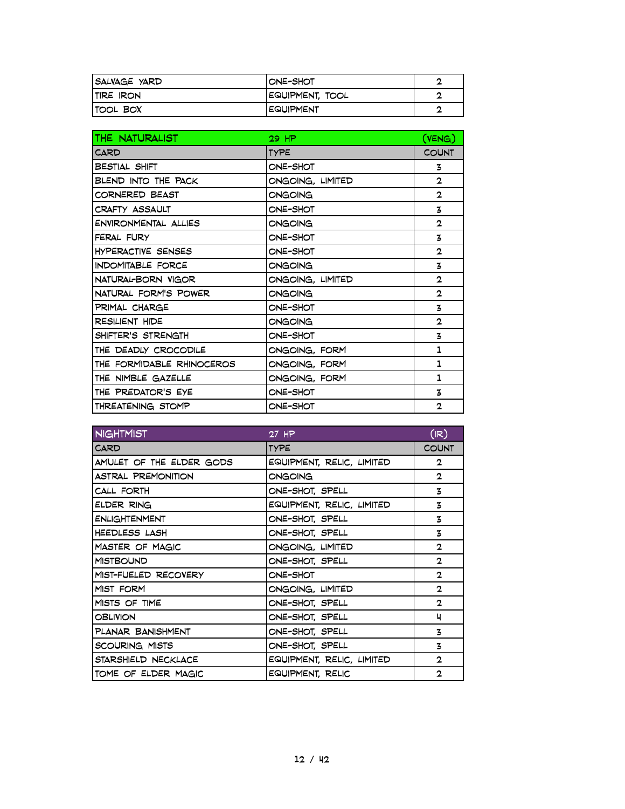| SALVAGE YARD      | IONE-SHOT        | ┍ |
|-------------------|------------------|---|
| <b>ITIRE IRON</b> | EQUIPMENT, TOOL  |   |
| <b>ITOOL BOX</b>  | <b>EQUIPMENT</b> |   |

| THE NATURALIST            | 29 HP            | (VENG)         |
|---------------------------|------------------|----------------|
| CARD                      | <b>TYPE</b>      | <b>COUNT</b>   |
| <b>BESTIAL SHIFT</b>      | ONE-SHOT         | 3              |
| BLEND INTO THE PACK       | ONGOING, LIMITED | $\mathbf{2}$   |
| CORNERED BEAST            | ONGOING          | $\mathbf{2}$   |
| CRAFTY ASSAULT            | ONE-SHOT         | 3              |
| ENVIRONMENTAL ALLIES      | ONGOING          | $\mathbf{2}$   |
| FERAL FURY                | ONE-SHOT         | 3              |
| HYPERACTIVE SENSES        | ONE-SHOT         | $\mathbf{2}$   |
| INDOMITABLE FORCE         | ONGOING          | 3              |
| NATURAL-BORN VIGOR        | ONGOING, LIMITED | $\mathbf{2}$   |
| NATURAL FORM'S POWER      | ONGOING          | $\mathbf{2}$   |
| PRIMAL CHARGE             | ONE-SHOT         | 3              |
| <b>RESILIENT HIDE</b>     | ONGOING          | $\mathbf{2}$   |
| SHIFTER'S STRENGTH        | ONE-SHOT         | 3              |
| THE DEADLY CROCODILE      | ONGOING, FORM    | 1              |
| THE FORMIDABLE RHINOCEROS | ONGOING, FORM    | 1              |
| THE NIMBLE GAZELLE        | ONGOING, FORM    | 1              |
| THE PREDATOR'S EYE        | ONE-SHOT         | 3              |
| THREATENING STOMP         | ONE-SHOT         | $\overline{2}$ |

| <b>NIGHTMIST</b>          | 27 HP                     | (IR)         |
|---------------------------|---------------------------|--------------|
| CARD                      | <b>TYPE</b>               | <b>COUNT</b> |
| AMULET OF THE ELDER GODS  | EQUIPMENT, RELIC, LIMITED | $\mathbf{2}$ |
| <b>ASTRAL PREMONITION</b> | ONGOING                   | $\mathbf{2}$ |
| CALL FORTH                | ONE-SHOT, SPELL           | 3            |
| ELDER RING                | EQUIPMENT, RELIC, LIMITED | 3            |
| <b>ENLIGHTENMENT</b>      | ONE-SHOT, SPELL           | 3            |
| <b>HEEDLESS LASH</b>      | ONE-SHOT, SPELL           | 3            |
| MASTER OF MAGIC           | ONGOING, LIMITED          | 2            |
| <b>MISTBOUND</b>          | ONE-SHOT, SPELL           | $\mathbf{2}$ |
| MIST-FUELED RECOVERY      | ONE-SHOT                  | $\mathbf{2}$ |
| MIST FORM                 | ONGOING, LIMITED          | $\mathbf{2}$ |
| MISTS OF TIME             | ONE-SHOT, SPELL           | $\mathbf{2}$ |
| <b>OBLIVION</b>           | ONE-SHOT, SPELL           | 4            |
| PLANAR BANISHMENT         | ONE-SHOT, SPELL           | z            |
| SCOURING MISTS            | ONE-SHOT, SPELL           | 3            |
| STARSHIELD NECKLACE       | EQUIPMENT, RELIC, LIMITED | 2            |
| TOME OF ELDER MAGIC       | EQUIPMENT, RELIC          | 2            |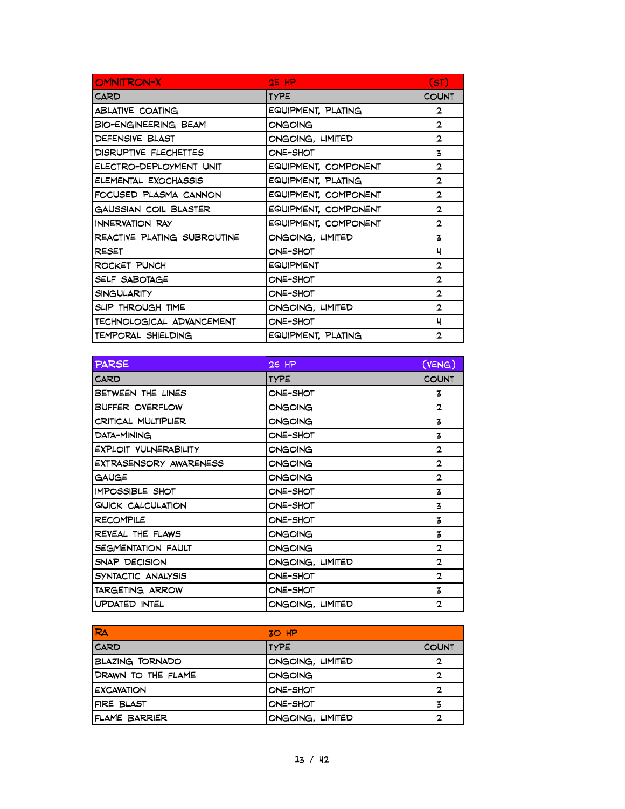| <b>OMNITRON-X</b>           | $25$ HP              | (ST)         |
|-----------------------------|----------------------|--------------|
| CARD                        | <b>TYPE</b>          | <b>COUNT</b> |
| ABLATIVE COATING            | EQUIPMENT, PLATING   | 2            |
| <b>BIO-ENGINEERING BEAM</b> | ONGOING              | $\mathbf{2}$ |
| DEFENSIVE BLAST             | ONGOING, LIMITED     | $\mathbf{2}$ |
| DISRUPTIVE FLECHETTES       | ONE-SHOT             | 3            |
| ELECTRO-DEPLOYMENT UNIT     | EQUIPMENT, COMPONENT | 2            |
| ELEMENTAL EXOCHASSIS        | EQUIPMENT, PLATING   | $\mathbf{2}$ |
| FOCUSED PLASMA CANNON       | EQUIPMENT, COMPONENT | $\mathbf{2}$ |
| GAUSSIAN COIL BLASTER       | EQUIPMENT, COMPONENT | 2            |
| INNERVATION RAY             | EQUIPMENT, COMPONENT | 2            |
| REACTIVE PLATING SUBROUTINE | ONGOING, LIMITED     | 3            |
| <b>RESET</b>                | ONE-SHOT             | ч            |
| ROCKET PUNCH                | <b>EQUIPMENT</b>     | $\mathbf{2}$ |
| SELF SABOTAGE               | ONE-SHOT             | $\mathbf{2}$ |
| <b>SINGULARITY</b>          | ONE-SHOT             | $\mathbf{2}$ |
| SLIP THROUGH TIME           | ONGOING, LIMITED     | 2            |
| TECHNOLOGICAL ADVANCEMENT   | ONE-SHOT             | ч            |
| TEMPORAL SHIELDING          | EQUIPMENT, PLATING   | $\mathbf{2}$ |

| <b>PARSE</b>           | 26 HP            | (VENG)       |
|------------------------|------------------|--------------|
| <b>CARD</b>            | <b>TYPE</b>      | <b>COUNT</b> |
| BETWEEN THE LINES      | ONE-SHOT         | 3            |
| <b>BUFFER OVERFLOW</b> | ONGOING          | $\mathbf{2}$ |
| CRITICAL MULTIPLIER    | ONGOING          | 3            |
| DATA-MINING            | ONE-SHOT         | 3            |
| EXPLOIT VULNERABILITY  | ONGOING          | $\mathbf{2}$ |
| EXTRASENSORY AWARENESS | ONGOING          | $\mathbf{2}$ |
| GAUGE                  | ONGOING          | $\mathbf{2}$ |
| <b>IMPOSSIBLE SHOT</b> | ONE-SHOT         | 3            |
| QUICK CALCULATION      | ONE-SHOT         | 3            |
| <b>RECOMPILE</b>       | ONE-SHOT         | 3            |
| REVEAL THE FLAWS       | ONGOING          | 3            |
| SEGMENTATION FAULT     | ONGOING          | 2            |
| SNAP DECISION          | ONGOING, LIMITED | $\mathbf{2}$ |
| SYNTACTIC ANALYSIS     | ONE-SHOT         | $\mathbf{2}$ |
| TARGETING ARROW        | ONE-SHOT         | 3            |
| UPDATED INTEL          | ONGOING, LIMITED | $\mathbf{2}$ |

| RA                     | $30$ HP          |              |
|------------------------|------------------|--------------|
| <b>CARD</b>            | <b>ITYPE</b>     | <b>COUNT</b> |
| <b>BLAZING TORNADO</b> | ONGOING, LIMITED | 2            |
| DRAWN TO THE FLAME     | ONGOING          | 2            |
| <b>EXCAVATION</b>      | ONE-SHOT         | 2            |
| FIRE BLAST             | ONE-SHOT         | z            |
| IFLAME BARRIER         | ONGOING, LIMITED |              |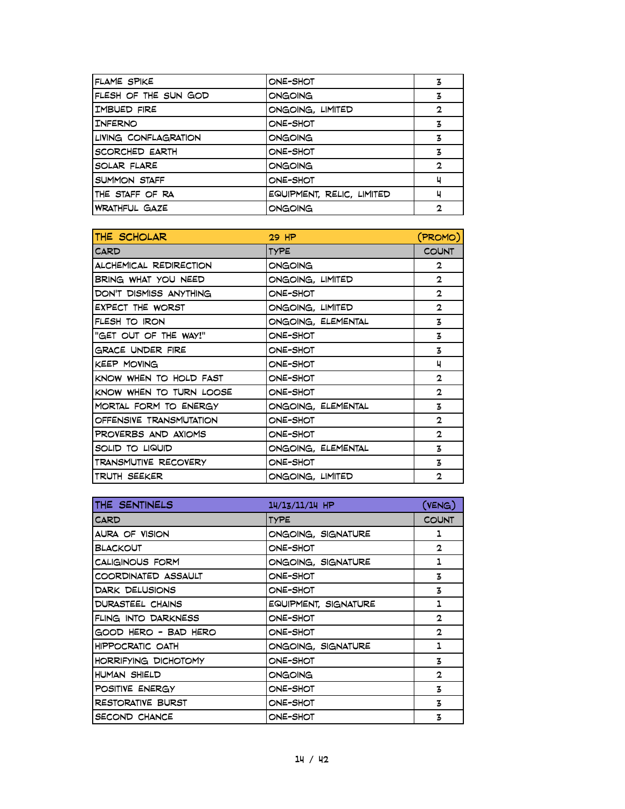| ONE-SHOT                  | 3            |
|---------------------------|--------------|
| ONGOING                   | 3            |
| ONGOING, LIMITED          | $\mathbf{2}$ |
| ONE-SHOT                  | 3            |
| ONGOING                   | 3            |
| ONE-SHOT                  | 3            |
| ONGOING                   | 2            |
| ONE-SHOT                  | ч            |
| EQUIPMENT, RELIC, LIMITED | ч            |
| ONGOING                   | 2            |
|                           |              |

| THE SCHOLAR             | $29$ HP            | (PROMO)        |
|-------------------------|--------------------|----------------|
| <b>CARD</b>             | <b>TYPE</b>        | <b>COUNT</b>   |
| ALCHEMICAL REDIRECTION  | ONGOING            | $\overline{2}$ |
| BRING WHAT YOU NEED     | ONGOING, LIMITED   | $\mathbf{2}$   |
| DON'T DISMISS ANYTHING  | ONE-SHOT           | $\mathbf{2}$   |
| EXPECT THE WORST        | ONGOING, LIMITED   | $\mathbf{2}$   |
| FLESH TO IRON           | ONGOING, ELEMENTAL | 3              |
| "GET OUT OF THE WAY!"   | ONE-SHOT           | 3              |
| GRACE UNDER FIRE        | ONE-SHOT           | 3              |
| <b>KEEP MOVING</b>      | ONE-SHOT           | ц              |
| KNOW WHEN TO HOLD FAST  | ONE-SHOT           | $\mathbf{2}$   |
| KNOW WHEN TO TURN LOOSE | ONE-SHOT           | $\mathbf{2}$   |
| MORTAL FORM TO ENERGY   | ONGOING, ELEMENTAL | 3              |
| OFFENSIVE TRANSMUTATION | ONE-SHOT           | $\mathbf{2}$   |
| PROVERBS AND AXIOMS     | ONE-SHOT           | $\mathbf{2}$   |
| SOLID TO LIQUID         | ONGOING, ELEMENTAL | 3              |
| TRANSMUTIVE RECOVERY    | ONE-SHOT           | 3              |
| TRUTH SEEKER            | ONGOING, LIMITED   | $\mathbf{2}$   |

| THE SENTINELS         | $14/13/11/14$ HP     | (VENG)       |
|-----------------------|----------------------|--------------|
| CARD                  | <b>TYPE</b>          | <b>COUNT</b> |
| <b>AURA OF VISION</b> | ONGOING, SIGNATURE   | 1            |
| BLACKOUT              | ONE-SHOT             | $\mathbf{2}$ |
| CALIGINOUS FORM       | ONGOING, SIGNATURE   | 1            |
| COORDINATED ASSAULT   | ONE-SHOT             | 3            |
| DARK DELUSIONS        | ONE-SHOT             | 3            |
| DURASTEEL CHAINS      | EQUIPMENT, SIGNATURE | 1            |
| FLING INTO DARKNESS   | ONE-SHOT             | $\mathbf{2}$ |
| GOOD HERO - BAD HERO  | ONE-SHOT             | $\mathbf{2}$ |
| HIPPOCRATIC OATH      | ONGOING, SIGNATURE   | 1            |
| HORRIFYING DICHOTOMY  | ONE-SHOT             | 3            |
| HUMAN SHIELD          | ONGOING              | $\mathbf{2}$ |
| POSITIVE ENERGY       | ONE-SHOT             | 3            |
| RESTORATIVE BURST     | ONE-SHOT             | 3            |
| SECOND CHANCE         | ONE-SHOT             | 3            |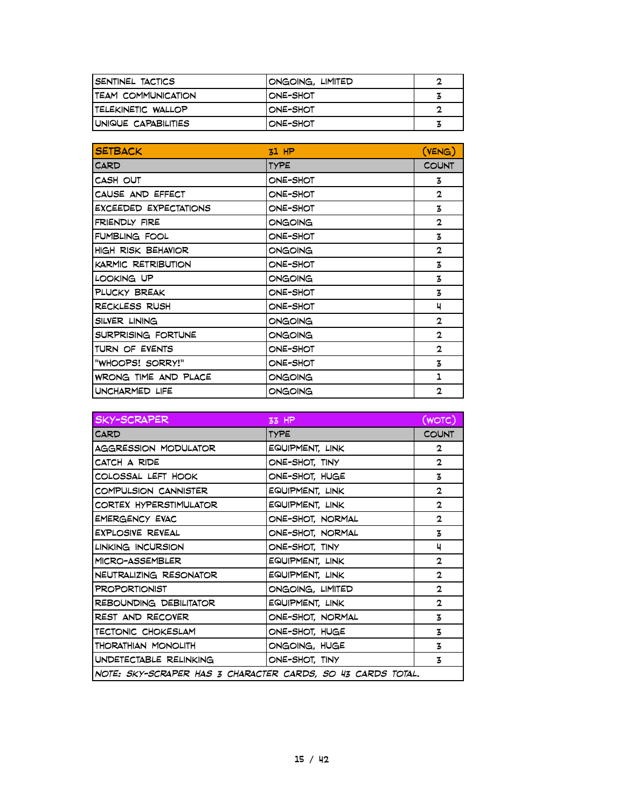| ISENTINEL TACTICS           | ONGOING, LIMITED | o |
|-----------------------------|------------------|---|
| <b>ITEAM COMMUNICATION</b>  | IONE-SHOT        |   |
| <b>TELEKINETIC WALLOP</b>   | IONE-SHOT        |   |
| <b>IUNIQUE CAPABILITIES</b> | IONE-SHOT        | з |

| <b>SETBACK</b>            | $51$ HP     | (VENG)       |
|---------------------------|-------------|--------------|
| CARD                      | <b>TYPE</b> | <b>COUNT</b> |
| CASH OUT                  | ONE-SHOT    | 3            |
| CAUSE AND EFFECT          | ONE-SHOT    | $\mathbf{2}$ |
| EXCEEDED EXPECTATIONS     | ONE-SHOT    | 3            |
| <b>FRIENDLY FIRE</b>      | ONGOING     | $\mathbf{2}$ |
| <b>FUMBLING FOOL</b>      | ONE-SHOT    | 3            |
| <b>HIGH RISK BEHAVIOR</b> | ONGOING     | $\mathbf{2}$ |
| KARMIC RETRIBUTION        | ONE-SHOT    | 3            |
| LOOKING UP                | ONGOING     | 3            |
| PLUCKY BREAK              | ONE-SHOT    | 3            |
| RECKLESS RUSH             | ONE-SHOT    | 4            |
| SILVER LINING             | ONGOING     | $\mathbf{2}$ |
| SURPRISING FORTUNE        | ONGOING     | $\mathbf{2}$ |
| TURN OF EVENTS            | ONE-SHOT    | $\mathbf{2}$ |
| "WHOOPS! SORRY!"          | ONE-SHOT    | 3            |
| WRONG TIME AND PLACE      | ONGOING     | 1            |
| UNCHARMED LIFE            | ONGOING     | $\mathbf{2}$ |

| <b>SKY-SCRAPER</b>                                          | 33 HP            | (WOTC)       |
|-------------------------------------------------------------|------------------|--------------|
| CARD                                                        | <b>TYPE</b>      | <b>COUNT</b> |
| <b>AGGRESSION MODULATOR</b>                                 | EQUIPMENT, LINK  | 2            |
| CATCH A RIDE                                                | ONE-SHOT, TINY   | 2            |
| COLOSSAL LEFT HOOK                                          | ONE-SHOT, HUGE   | 3            |
| COMPULSION CANNISTER                                        | EQUIPMENT, LINK  | 2            |
| CORTEX HYPERSTIMULATOR                                      | EQUIPMENT, LINK  | $\mathbf{2}$ |
| <b>EMERGENCY EVAC</b>                                       | ONE-SHOT, NORMAL | $\mathbf{2}$ |
| <b>EXPLOSIVE REVEAL</b>                                     | ONE-SHOT, NORMAL | 3            |
| LINKING INCURSION                                           | ONE-SHOT, TINY   | ч            |
| MICRO-ASSEMBLER                                             | EQUIPMENT, LINK  | $\mathbf{2}$ |
| NEUTRALIZING RESONATOR                                      | EQUIPMENT, LINK  | $\mathbf{2}$ |
| <b>PROPORTIONIST</b>                                        | ONGOING, LIMITED | $\mathbf{2}$ |
| REBOUNDING DEBILITATOR                                      | EQUIPMENT, LINK  | $\mathbf{2}$ |
| REST AND RECOVER                                            | ONE-SHOT, NORMAL | 3            |
| TECTONIC CHOKESLAM                                          | ONE-SHOT, HUGE   | 3            |
| THORATHIAN MONOLITH                                         | ONGOING, HUGE    | z            |
| UNDETECTABLE RELINKING                                      | ONE-SHOT, TINY   | 3            |
| NOTE: SKY-SCRAPER HAS 3 CHARACTER CARDS, SO 43 CARDS TOTAL. |                  |              |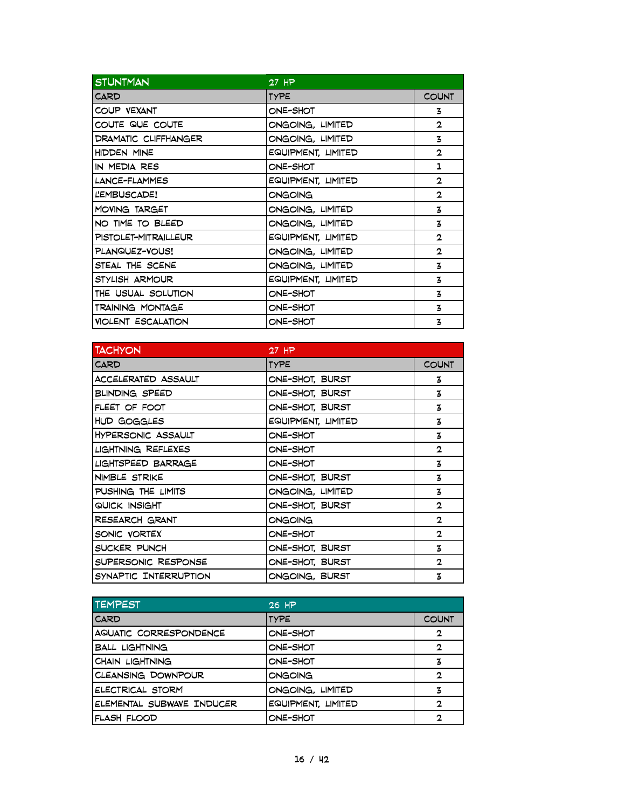| <b>STUNTMAN</b>           | 27 HP              |              |
|---------------------------|--------------------|--------------|
| <b>CARD</b>               | <b>TYPE</b>        | <b>COUNT</b> |
| COUP VEXANT               | ONE-SHOT           | 3            |
| COUTE QUE COUTE           | ONGOING, LIMITED   | $\mathbf{2}$ |
| DRAMATIC CLIFFHANGER      | ONGOING, LIMITED   | 3            |
| HIDDEN MINE               | EQUIPMENT, LIMITED | $\mathbf{2}$ |
| IN MEDIA RES              | ONE-SHOT           | 1            |
| LANCE-FLAMMES             | EQUIPMENT, LIMITED | $\mathbf{2}$ |
| LEMBUSCADE!               | ONGOING            | $\mathbf{2}$ |
| MOVING TARGET             | ONGOING, LIMITED   | 3            |
| NO TIME TO BLEED          | ONGOING, LIMITED   | 3            |
| PISTOLET-MITRAILLEUR      | EQUIPMENT, LIMITED | $\mathbf{2}$ |
| PLANQUEZ-VOUS!            | ONGOING, LIMITED   | $\mathbf{2}$ |
| STEAL THE SCENE           | ONGOING, LIMITED   | 3            |
| STYLISH ARMOUR            | EQUIPMENT, LIMITED | 3            |
| THE USUAL SOLUTION        | ONE-SHOT           | 3            |
| TRAINING MONTAGE          | ONE-SHOT           | 3            |
| <b>VIOLENT ESCALATION</b> | ONE-SHOT           | 3            |

| <b>TACHYON</b>        | $27$ HP            |              |
|-----------------------|--------------------|--------------|
| <b>CARD</b>           | <b>TYPE</b>        | <b>COUNT</b> |
| ACCELERATED ASSAULT   | ONE-SHOT, BURST    | 3            |
| <b>BLINDING SPEED</b> | ONE-SHOT, BURST    | 3            |
| FLEET OF FOOT         | ONE-SHOT, BURST    | 3            |
| HUD GOGGLES           | EQUIPMENT, LIMITED | 3            |
| HYPERSONIC ASSAULT    | ONE-SHOT           | 3            |
| LIGHTNING REFLEXES    | ONE-SHOT           | $\mathbf{2}$ |
| LIGHTSPEED BARRAGE    | ONE-SHOT           | 3            |
| NIMBLE STRIKE         | ONE-SHOT, BURST    | 3            |
| PUSHING THE LIMITS    | ONGOING, LIMITED   | 3            |
| QUICK INSIGHT         | ONE-SHOT, BURST    | $\mathbf{2}$ |
| RESEARCH GRANT        | ONGOING            | $\mathbf{2}$ |
| SONIC VORTEX          | ONE-SHOT           | $\mathbf{2}$ |
| SUCKER PUNCH          | ONE-SHOT, BURST    | 3            |
| SUPERSONIC RESPONSE   | ONE-SHOT, BURST    | $\mathbf{2}$ |
| SYNAPTIC INTERRUPTION | ONGOING, BURST     | 3            |

| <b>TEMPEST</b>            | 26 HP              |              |
|---------------------------|--------------------|--------------|
| <b>CARD</b>               | <b>TYPE</b>        | <b>COUNT</b> |
| AQUATIC CORRESPONDENCE    | ONE-SHOT           | $\mathbf{2}$ |
| <b>BALL LIGHTNING</b>     | ONE-SHOT           | 2            |
| <b>CHAIN LIGHTNING</b>    | ONE-SHOT           | 3            |
| CLEANSING DOWNPOUR        | ONGOING            | 2            |
| ELECTRICAL STORM          | ONGOING, LIMITED   | 3            |
| ELEMENTAL SUBWAVE INDUCER | EQUIPMENT, LIMITED | 2            |
| FLASH FLOOD               | ONE-SHOT           | 2            |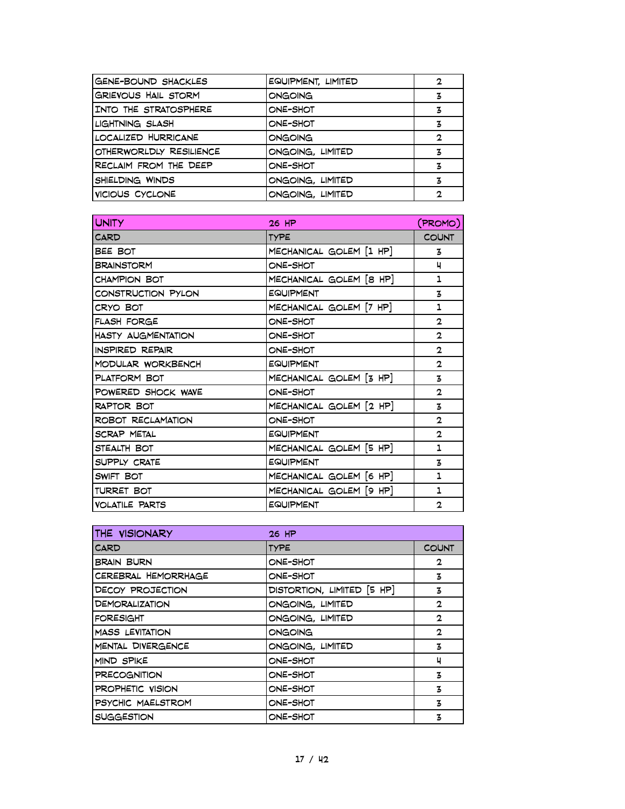| <b>GENE-BOUND SHACKLES</b> | EQUIPMENT, LIMITED | 2 |
|----------------------------|--------------------|---|
| GRIEVOUS HAIL STORM        | ONGOING            | Ӡ |
| INTO THE STRATOSPHERE      | ONE-SHOT           | 3 |
| LIGHTNING SLASH            | ONE-SHOT           | 3 |
| LOCALIZED HURRICANE        | ONGOING            | 2 |
| OTHERWORLDLY RESILIENCE    | ONGOING, LIMITED   | 3 |
| RECLAIM FROM THE DEEP      | ONE-SHOT           | 3 |
| SHIELDING WINDS            | ONGOING, LIMITED   | 3 |
| VICIOUS CYCLONE            | ONGOING, LIMITED   | 2 |
|                            |                    |   |

| <b>UNITY</b>              | 26 HP                   | (PROMO)        |
|---------------------------|-------------------------|----------------|
| CARD                      | <b>TYPE</b>             | <b>COUNT</b>   |
| BEE BOT                   | MECHANICAL GOLEM [1 HP] | 3              |
| <b>BRAINSTORM</b>         | ONE-SHOT                | ч              |
| <b>CHAMPION BOT</b>       | MECHANICAL GOLEM [8 HP] | 1              |
| CONSTRUCTION PYLON        | <b>EQUIPMENT</b>        | 3              |
| CRYO BOT                  | MECHANICAL GOLEM [7 HP] | 1              |
| FLASH FORGE               | ONE-SHOT                | $\overline{2}$ |
| <b>HASTY AUGMENTATION</b> | ONE-SHOT                | $\mathbf{2}$   |
| <b>INSPIRED REPAIR</b>    | ONE-SHOT                | $\overline{2}$ |
| MODULAR WORKBENCH         | <b>EQUIPMENT</b>        | $\mathbf{2}$   |
| PLATFORM BOT              | MECHANICAL GOLEM [3 HP] | 3              |
| POWERED SHOCK WAVE        | ONE-SHOT                | $\mathbf{2}$   |
| <b>RAPTOR BOT</b>         | MECHANICAL GOLEM [2 HP] | 3              |
| ROBOT RECLAMATION         | ONE-SHOT                | $\mathbf{2}$   |
| <b>SCRAP METAL</b>        | <b>EQUIPMENT</b>        | $\mathbf{2}$   |
| STEALTH BOT               | MECHANICAL GOLEM [5 HP] | 1              |
| SUPPLY CRATE              | <b>EQUIPMENT</b>        | 3              |
| SWIFT BOT                 | MECHANICAL GOLEM [6 HP] | 1              |
| <b>TURRET BOT</b>         | MECHANICAL GOLEM [9 HP] | 1              |
| <b>VOLATILE PARTS</b>     | <b>EQUIPMENT</b>        | $\mathbf{2}$   |

| THE VISIONARY                | 26 HP                      |              |
|------------------------------|----------------------------|--------------|
| CARD                         | <b>TYPE</b>                | <b>COUNT</b> |
| <b>BRAIN BURN</b>            | ONE-SHOT                   | $\mathbf{2}$ |
| CEREBRAL HEMORRHAGE          | ONE-SHOT                   | 3            |
| DECOY PROJECTION             | DISTORTION, LIMITED [5 HP] | z            |
| <b><i>DEMORALIZATION</i></b> | ONGOING, LIMITED           | $\mathbf{2}$ |
| <b>FORESIGHT</b>             | ONGOING, LIMITED           | $\mathbf{2}$ |
| <b>MASS LEVITATION</b>       | ONGOING                    | $\mathbf{2}$ |
| MENTAL DIVERGENCE            | ONGOING, LIMITED           | 3            |
| MIND SPIKE                   | ONE-SHOT                   | ц            |
| <b>PRECOGNITION</b>          | ONE-SHOT                   | 3            |
| PROPHETIC VISION             | ONE-SHOT                   | 3            |
| PSYCHIC MAELSTROM            | ONE-SHOT                   | 3            |
| <b>SUGGESTION</b>            | ONE-SHOT                   | 3            |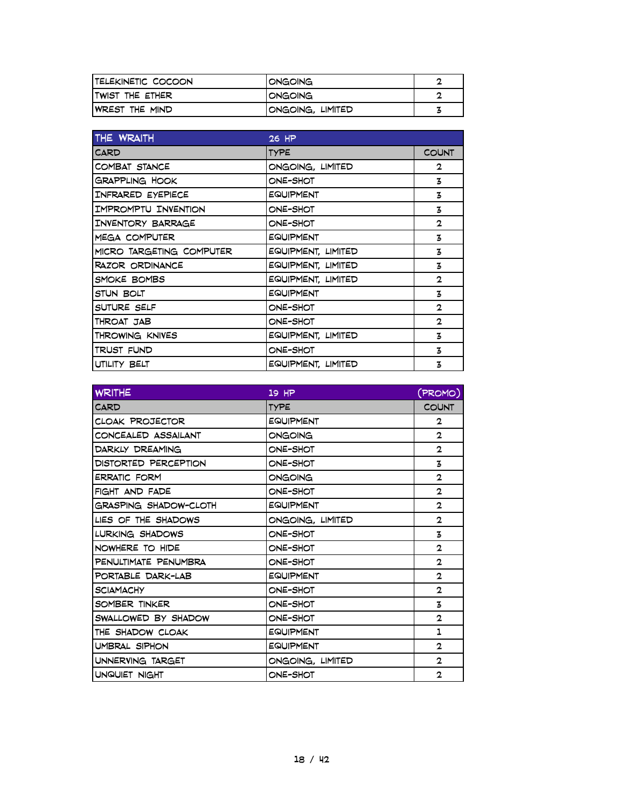| <b>ITELEKINETIC COCOON</b> | <b>IONGOING</b>  | ◠ |
|----------------------------|------------------|---|
| <b>ITWIST THE ETHER</b>    | IONGOING         | ◠ |
| <b>WREST THE MIND</b>      | ONGOING, LIMITED |   |

| THE WRAITH               | 26 HP              |              |
|--------------------------|--------------------|--------------|
| <b>CARD</b>              | <b>TYPE</b>        | <b>COUNT</b> |
| COMBAT STANCE            | ONGOING, LIMITED   | 2            |
| <b>GRAPPLING HOOK</b>    | ONE-SHOT           | 3            |
| INFRARED EYEPIECE        | EQUIPMENT          | 3            |
| IMPROMPTU INVENTION      | ONE-SHOT           | 3            |
| INVENTORY BARRAGE        | ONE-SHOT           | $\mathbf{2}$ |
| MEGA COMPUTER            | EQUIPMENT          | 3            |
| MICRO TARGETING COMPUTER | EQUIPMENT, LIMITED | 3            |
| <b>RAZOR ORDINANCE</b>   | EQUIPMENT, LIMITED | 3            |
| SMOKE BOMBS              | EQUIPMENT, LIMITED | $\mathbf{2}$ |
| STUN BOLT                | EQUIPMENT          | 3            |
| SUTURE SELF              | ONE-SHOT           | $\mathbf{2}$ |
| THROAT JAB               | ONE-SHOT           | $\mathbf{2}$ |
| THROWING KNIVES          | EQUIPMENT, LIMITED | 3            |
| TRUST FUND               | ONE-SHOT           | 3            |
| UTILITY BELT             | EQUIPMENT, LIMITED | 3            |

| <b>WRITHE</b>          | $19$ HP          | (PROMO)      |
|------------------------|------------------|--------------|
| CARD                   | <b>TYPE</b>      | <b>COUNT</b> |
| CLOAK PROJECTOR        | EQUIPMENT        | 2            |
| CONCEALED ASSAILANT    | ONGOING          | $\mathbf{2}$ |
| <b>DARKLY DREAMING</b> | ONE-SHOT         | $\mathbf{2}$ |
| DISTORTED PERCEPTION   | ONE-SHOT         | 3            |
| <b>ERRATIC FORM</b>    | ONGOING          | $\mathbf{2}$ |
| FIGHT AND FADE         | ONE-SHOT         | $\mathbf{2}$ |
| GRASPING SHADOW-CLOTH  | <b>EQUIPMENT</b> | $\mathbf{2}$ |
| LIES OF THE SHADOWS    | ONGOING, LIMITED | $\mathbf{2}$ |
| LURKING SHADOWS        | ONE-SHOT         | 3            |
| NOWHERE TO HIDE        | ONE-SHOT         | $\mathbf{2}$ |
| PENULTIMATE PENUMBRA   | ONE-SHOT         | $\mathbf{2}$ |
| PORTABLE DARK-LAB      | <b>EQUIPMENT</b> | $\mathbf{2}$ |
| <b>SCIAMACHY</b>       | ONE-SHOT         | $\mathbf{2}$ |
| SOMBER TINKER          | ONE-SHOT         | 3            |
| SWALLOWED BY SHADOW    | ONE-SHOT         | $\mathbf{2}$ |
| THE SHADOW CLOAK       | EQUIPMENT        | 1            |
| UMBRAL SIPHON          | <b>EQUIPMENT</b> | $\mathbf{2}$ |
| UNNERVING TARGET       | ONGOING, LIMITED | $\mathbf{2}$ |
| UNQUIET NIGHT          | ONE-SHOT         | $\mathbf{2}$ |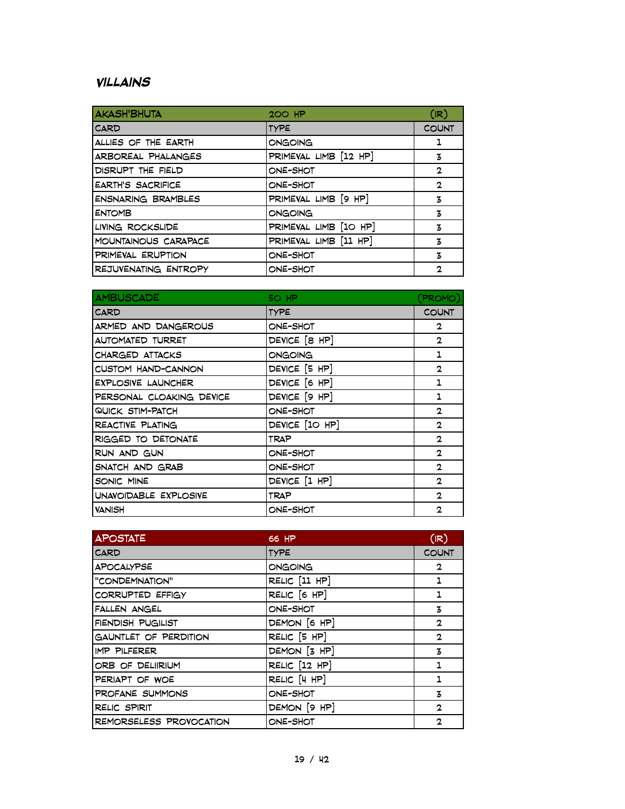### **Villains**

| <b>AKASH'BHUTA</b>        | <b>200 HP</b>         | (IR)         |
|---------------------------|-----------------------|--------------|
| <b>CARD</b>               | <b>TYPE</b>           | <b>COUNT</b> |
| ALLIES OF THE EARTH       | ONGOING               | 1            |
| ARBOREAL PHALANGES        | PRIMEVAL LIMB [12 HP] | 3            |
| DISRUPT THE FIELD         | ONE-SHOT              | 2            |
| <b>EARTH'S SACRIFICE</b>  | ONE-SHOT              | $\mathbf{2}$ |
| <b>ENSNARING BRAMBLES</b> | PRIMEVAL LIMB [9 HP]  | 3            |
| <b>ENTOMB</b>             | ONGOING               | 3            |
| LIVING ROCKSLIDE          | PRIMEVAL LIMB [10 HP] | 3            |
| MOUNTAINOUS CARAPACE      | PRIMEVAL LIMB [11 HP] | 3            |
| PRIMEVAL ERUPTION         | ONE-SHOT              | 3            |
| REJUVENATING ENTROPY      | ONE-SHOT              | 2            |

| <b>AMBUSCADE</b>          | 50 HP          | (PROMO)        |
|---------------------------|----------------|----------------|
| <b>CARD</b>               | <b>TYPE</b>    | <b>COUNT</b>   |
| ARMED AND DANGEROUS       | ONE-SHOT       | $\overline{2}$ |
| AUTOMATED TURRET          | DEVICE [8 HP]  | $\overline{2}$ |
| CHARGED ATTACKS           | ONGOING        | 1              |
| CUSTOM HAND-CANNON        | DEVICE [5 HP]  | $\mathbf{2}$   |
| <b>EXPLOSIVE LAUNCHER</b> | DEVICE [6 HP]  | 1              |
| PERSONAL CLOAKING DEVICE  | DEVICE [9 HP]  | 1              |
| QUICK STIM-PATCH          | ONE-SHOT       | $\mathbf{2}$   |
| REACTIVE PLATING          | DEVICE [10 HP] | $\mathbf{2}$   |
| RIGGED TO DETONATE        | <b>TRAP</b>    | $\mathbf{2}$   |
| RUN AND GUN               | ONE-SHOT       | $\mathbf{2}$   |
| SNATCH AND GRAB           | ONE-SHOT       | $\mathbf{2}$   |
| SONIC MINE                | DEVICE [1 HP]  | $\mathbf{2}$   |
| UNAVOIDABLE EXPLOSIVE     | <b>TRAP</b>    | $\mathbf{2}$   |
| <b>VANISH</b>             | ONE-SHOT       | $\mathbf{2}$   |

| <b>APOSTATE</b>         | 66 HP                   | (IR)           |
|-------------------------|-------------------------|----------------|
| <b>CARD</b>             | <b>TYPE</b>             | <b>COUNT</b>   |
| <b>APOCALYPSE</b>       | ONGOING                 | $\mathbf{2}$   |
| "CONDEMNATION"          | RELIC [11 HP]           | 1              |
| CORRUPTED EFFIGY        | RELIC [6 HP]            | 1              |
| FALLEN ANGEL            | ONE-SHOT                | 3              |
| FIENDISH PUGILIST       | DEMON [6 HP]            | $\mathbf{2}$   |
| GAUNTLET OF PERDITION   | RELIC <sup>[5 HP]</sup> | $\overline{2}$ |
| <b>IMP PILFERER</b>     | DEMON [3 HP]            | 3              |
| ORB OF DELIIRIUM        | RELIC [12 HP]           | 1              |
| PERIAPT OF WOE          | RELIC [4 HP]            | 1              |
| PROFANE SUMMONS         | ONE-SHOT                | 3              |
| <b>RELIC SPIRIT</b>     | DEMON [9 HP]            | $\mathbf{2}$   |
| REMORSELESS PROVOCATION | ONE-SHOT                | $\mathbf{2}$   |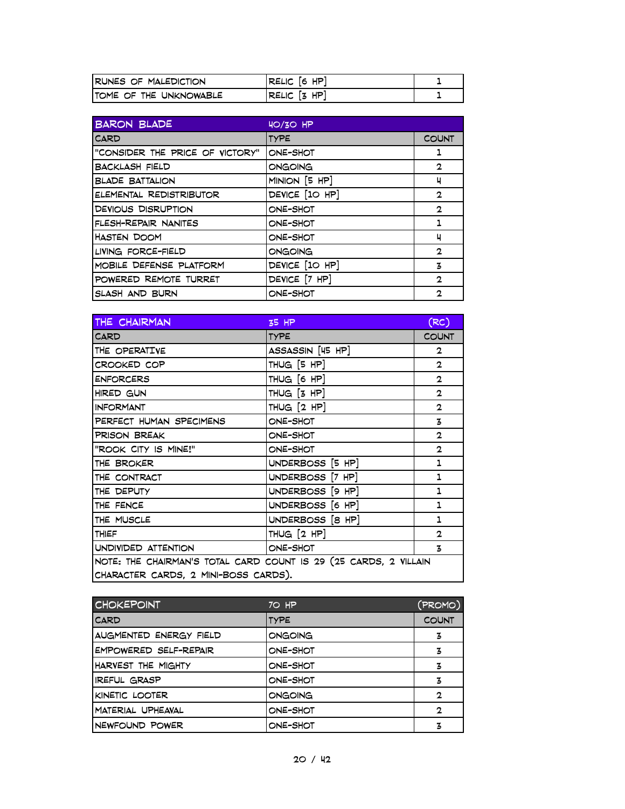| <b>RUNES OF MALEDICTION</b> | <b>RELIC [6 HP]</b> |  |
|-----------------------------|---------------------|--|
| ITOME OF THE UNKNOWABLE     | $RELLC$ $[3$ HP $]$ |  |

| <b>BARON BLADE</b>              | $HO/3O$ HP     |              |
|---------------------------------|----------------|--------------|
| CARD                            | <b>TYPE</b>    | <b>COUNT</b> |
| "CONSIDER THE PRICE OF VICTORY" | ONE-SHOT       | 1            |
| <b>BACKLASH FIELD</b>           | ONGOING        | $\mathbf{2}$ |
| <b>BLADE BATTALION</b>          | MINION [5 HP]  | ч            |
| ELEMENTAL REDISTRIBUTOR         | DEVICE [10 HP] | $\mathbf{2}$ |
| <b>DEVIOUS DISRUPTION</b>       | ONE-SHOT       | $\mathbf{2}$ |
| FLESH-REPAIR NANITES            | ONE-SHOT       | 1            |
| HASTEN DOOM                     | ONE-SHOT       | ч            |
| LIVING FORCE-FIELD              | ONGOING        | $\mathbf{2}$ |
| MOBILE DEFENSE PLATFORM         | DEVICE [10 HP] | 3            |
| POWERED REMOTE TURRET           | DEVICE [7 HP]  | $\mathbf{2}$ |
| SLASH AND BURN                  | ONE-SHOT       | $\mathbf{2}$ |

| THE CHAIRMAN                                                     | 35 HP            | (RC)         |
|------------------------------------------------------------------|------------------|--------------|
| CARD                                                             | <b>TYPE</b>      | <b>COUNT</b> |
| THE OPERATIVE                                                    | ASSASSIN [45 HP] | 2            |
| CROOKED COP                                                      | THUG [5 HP]      | $\mathbf{2}$ |
| <b>ENFORCERS</b>                                                 | THUG [6 HP]      | $\mathbf{2}$ |
| HIRED GUN                                                        | THUG $[3$ HP $]$ | $\mathbf{2}$ |
| <b>INFORMANT</b>                                                 | THUG $[2$ HP $]$ | $\mathbf{2}$ |
| PERFECT HUMAN SPECIMENS                                          | ONE-SHOT         | 3            |
| PRISON BREAK                                                     | ONE-SHOT         | $\mathbf{2}$ |
| "ROOK CITY IS MINE!"                                             | ONE-SHOT         | $\mathbf{2}$ |
| THE BROKER                                                       | UNDERBOSS [5 HP] | 1            |
| THE CONTRACT                                                     | UNDERBOSS [7 HP] | 1            |
| THE DEPUTY                                                       | UNDERBOSS [9 HP] | 1            |
| THE FENCE                                                        | UNDERBOSS [6 HP] | 1            |
| THE MUSCLE                                                       | UNDERBOSS [8 HP] | 1            |
| THIEF                                                            | THUG $[2$ HP $]$ | $\mathbf{2}$ |
| UNDIVIDED ATTENTION                                              | ONE-SHOT         | 3            |
| NOTE: THE CHAIRMAN'S TOTAL CARD COUNT IS 29 (25 CARDS, 2 VILLAIN |                  |              |
| CHARACTER CARDS, 2 MINI-BOSS CARDS).                             |                  |              |

| <b>CHOKEPOINT</b>      | 70 HP       | (PROMO)      |
|------------------------|-------------|--------------|
| <b>CARD</b>            | <b>TYPE</b> | <b>COUNT</b> |
| AUGMENTED ENERGY FIELD | ONGOING     | 3            |
| EMPOWERED SELF-REPAIR  | ONE-SHOT    | 3            |
| HARVEST THE MIGHTY     | ONE-SHOT    | 3            |
| <b>IREFUL GRASP</b>    | ONE-SHOT    | 3            |
| KINETIC LOOTER         | ONGOING     | $\mathbf{2}$ |
| MATERIAL UPHEAVAL      | ONE-SHOT    | $\mathbf{2}$ |
| NEWFOUND POWER         | ONE-SHOT    | 3            |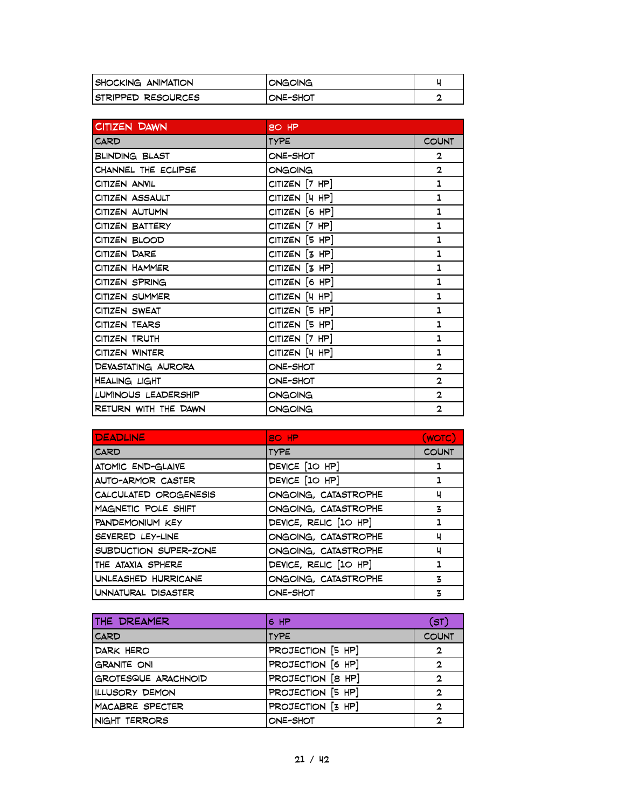| <b>SHOCKING ANIMATION</b> | <b>IONGOING</b> |  |
|---------------------------|-----------------|--|
| ISTRIPPED RESOURCES       | IONE-SHOT       |  |

| CITIZEN DAWN          | 80 HP                |              |
|-----------------------|----------------------|--------------|
| <b>CARD</b>           | <b>TYPE</b>          | <b>COUNT</b> |
| <b>BLINDING BLAST</b> | ONE-SHOT             | $\mathbf{2}$ |
| CHANNEL THE ECLIPSE   | ONGOING              | $\mathbf{2}$ |
| CITIZEN ANVIL         | CITIZEN [7 HP]       | 1            |
| CITIZEN ASSAULT       | CITIZEN [4 HP]       | 1            |
| CITIZEN AUTUMN        | CITIZEN [6 HP]       | 1            |
| CITIZEN BATTERY       | $CITIZEN$ $[7$ HP]   | 1            |
| CITIZEN BLOOD         | CITIZEN [5 HP]       | 1            |
| CITIZEN DARE          | $CITIZEN$ $[3$ $HP]$ | 1            |
| CITIZEN HAMMER        | CITIZEN [3 HP]       | 1            |
| CITIZEN SPRING        | CITIZEN [6 HP]       | 1            |
| CITIZEN SUMMER        | CITIZEN [4 HP]       | 1            |
| CITIZEN SWEAT         | CITIZEN [5 HP]       | 1            |
| CITIZEN TEARS         | CITIZEN [5 HP]       | 1            |
| CITIZEN TRUTH         | CITIZEN [7 HP]       | 1            |
| CITIZEN WINTER        | CITIZEN [4 HP]       | 1            |
| DEVASTATING AURORA    | ONE-SHOT             | $\mathbf{2}$ |
| HEALING LIGHT         | ONE-SHOT             | $\mathbf{2}$ |
| LUMINOUS LEADERSHIP   | ONGOING              | $\mathbf{2}$ |
| RETURN WITH THE DAWN  | ONGOING              | $\mathbf{2}$ |

| <b>DEADLINE</b>          | 80 HP                 | (WOTC)       |
|--------------------------|-----------------------|--------------|
| CARD                     | <b>TYPE</b>           | <b>COUNT</b> |
| <b>ATOMIC END-GLAIVE</b> | DEVICE [10 HP]        | ı            |
| AUTO-ARMOR CASTER        | DEVICE [10 HP]        |              |
| CALCULATED OROGENESIS    | ONGOING, CATASTROPHE  | ч            |
| MAGNETIC POLE SHIFT      | ONGOING, CATASTROPHE  | 3            |
| PANDEMONIUM KEY          | DEVICE, RELIC [10 HP] |              |
| SEVERED LEY-LINE         | ONGOING, CATASTROPHE  | ч            |
| SUBDUCTION SUPER-ZONE    | ONGOING, CATASTROPHE  | ч            |
| THE ATAXIA SPHERE        | DEVICE, RELIC [10 HP] |              |
| UNLEASHED HURRICANE      | ONGOING, CATASTROPHE  | 3            |
| UNNATURAL DISASTER       | ONE-SHOT              | 3            |

| THE DREAMER                | 6 HP              | (ST)         |
|----------------------------|-------------------|--------------|
| <b>CARD</b>                | <b>TYPE</b>       | <b>COUNT</b> |
| DARK HERO                  | PROJECTION [5 HP] | $\mathbf{2}$ |
| <b>GRANITE ONI</b>         | PROJECTION [6 HP] | $\mathbf{c}$ |
| <b>GROTESQUE ARACHNOID</b> | PROJECTION [8 HP] | $\mathbf{2}$ |
| ILLUSORY DEMON             | PROJECTION [5 HP] | 2            |
| MACABRE SPECTER            | PROJECTION [3 HP] | $\mathbf{2}$ |
| NIGHT TERRORS              | ONE-SHOT          | 2            |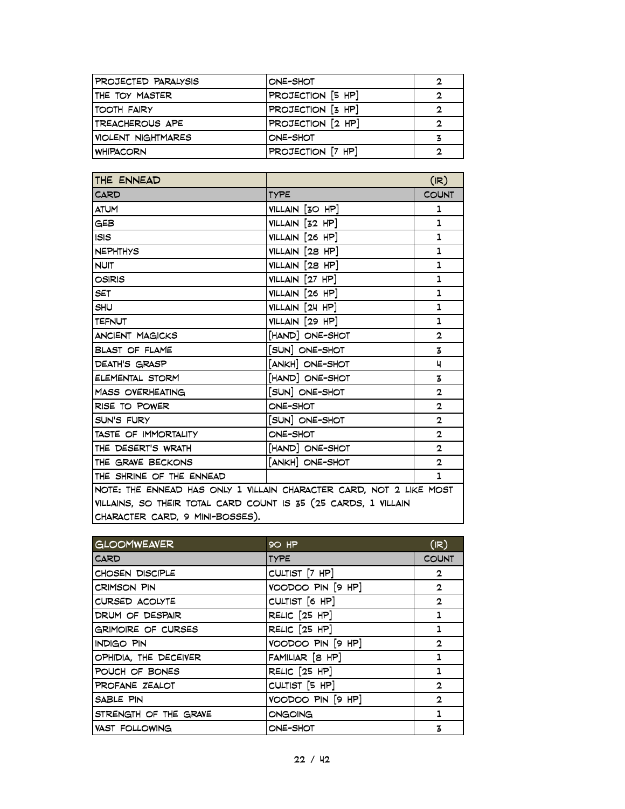| PROJECTED PARALYSIS | ONE-SHOT          | 2 |
|---------------------|-------------------|---|
| ITHE TOY MASTER     | PROJECTION [5 HP] | 2 |
| <b>ITOOTH FAIRY</b> | PROJECTION [3 HP] | 2 |
| ITREACHEROUS APE    | PROJECTION [2 HP] | 2 |
| VIOLENT NIGHTMARES  | ONE-SHOT          | 3 |
| <b>WHIPACORN</b>    | PROJECTION [7 HP] | າ |

| THE ENNEAD                                                          |                 | (IR)           |
|---------------------------------------------------------------------|-----------------|----------------|
| CARD                                                                | <b>TYPE</b>     | <b>COUNT</b>   |
| <b>ATUM</b>                                                         | VILLAIN [30 HP] | 1              |
| <b>GEB</b>                                                          | VILLAIN [32 HP] | 1              |
| <b>ISIS</b>                                                         | VILLAIN [26 HP] | 1              |
| <b>NEPHTHYS</b>                                                     | VILLAIN [28 HP] | 1              |
| <b>NUIT</b>                                                         | VILLAIN [28 HP] | 1              |
| <b>OSIRIS</b>                                                       | VILLAIN [27 HP] | $\mathbf{1}$   |
| <b>SET</b>                                                          | VILLAIN [26 HP] | 1              |
| <b>SHU</b>                                                          | VILLAIN [24 HP] | 1              |
| <b>TEFNUT</b>                                                       | VILLAIN [29 HP] | 1              |
| <b>ANCIENT MAGICKS</b>                                              | [HAND] ONE-SHOT | $\overline{2}$ |
| <b>BLAST OF FLAME</b>                                               | [SUN] ONE-SHOT  | 3              |
| DEATH'S GRASP                                                       | [ANKH] ONE-SHOT | ц              |
| ELEMENTAL STORM                                                     | [HAND] ONE-SHOT | 3              |
| <b>MASS OVERHEATING</b>                                             | [SUN] ONE-SHOT  | $\overline{2}$ |
| RISE TO POWER                                                       | ONE-SHOT        | $\mathbf{2}$   |
| SUN'S FURY                                                          | [SUN] ONE-SHOT  | $\mathbf{2}$   |
| TASTE OF IMMORTALITY                                                | ONE-SHOT        | $\mathbf{2}$   |
| THE DESERT'S WRATH                                                  | [HAND] ONE-SHOT | $\mathbf{2}$   |
| THE GRAVE BECKONS                                                   | [ANKH] ONE-SHOT | $\mathbf{2}$   |
| THE SHRINE OF THE ENNEAD                                            |                 | 1              |
| NOTE: THE ENNEAD HAS ONLY 1 VILLAIN CHARACTER CARD, NOT 2 LIKE MOST |                 |                |
| VILLAINS, SO THEIR TOTAL CARD COUNT IS 35 (25 CARDS, 1 VILLAIN      |                 |                |
| CHARACTER CARD, 9 MINI-BOSSES).                                     |                 |                |

| <b>GLOOMWEAVER</b>        | <b>90 HP</b>             | (IR)           |
|---------------------------|--------------------------|----------------|
| <b>CARD</b>               | <b>TYPE</b>              | <b>COUNT</b>   |
| CHOSEN DISCIPLE           | CULTIST [7 HP]           | $\mathbf{2}$   |
| <b>CRIMSON PIN</b>        | VOODOO PIN [9 HP]        | $\mathbf{2}$   |
| CURSED ACOLYTE            | CULTIST [6 HP]           | $\overline{2}$ |
| DRUM OF DESPAIR           | RELIC <sup>[25 HP]</sup> | 1              |
| <b>GRIMOIRE OF CURSES</b> | RELIC $[25$ HP $]$       |                |
| <b>INDIGO PIN</b>         | VOODOO PIN [9 HP]        | $\overline{2}$ |
| OPHIDIA, THE DECEIVER     | FAMILIAR [8 HP]          | 1              |
| POUCH OF BONES            | RELIC [25 HP]            | 1              |
| PROFANE ZEALOT            | CULTIST [5 HP]           | $\mathbf{2}$   |
| SABLE PIN                 | VOODOO PIN [9 HP]        | $\mathbf{2}$   |
| STRENGTH OF THE GRAVE     | ONGOING                  | 1              |
| VAST FOLLOWING            | ONE-SHOT                 | 3              |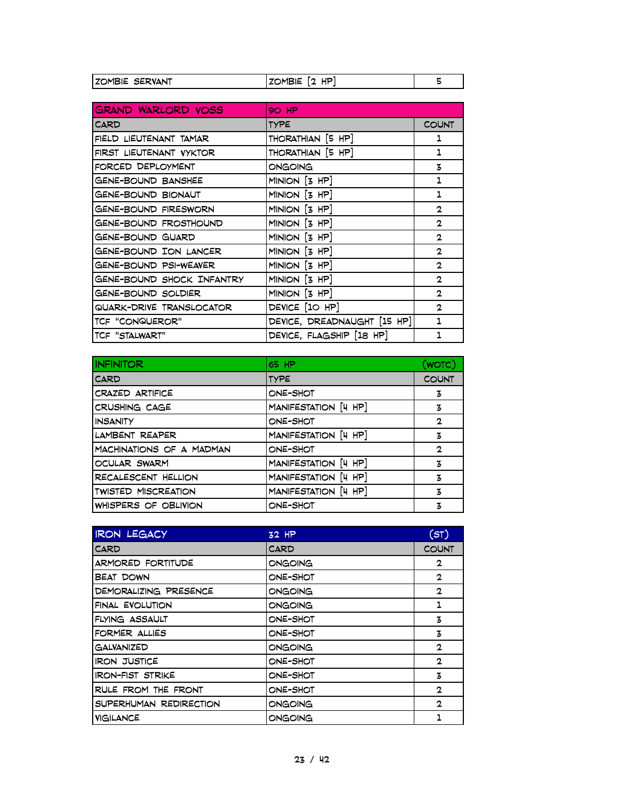| IZOMBIE SERVANT | HP.<br><b>ZOMBIE</b> |  |
|-----------------|----------------------|--|

| <b>GRAND WARLORD VOSS</b> | <b>90 HP</b>                |              |
|---------------------------|-----------------------------|--------------|
| <b>CARD</b>               | <b>TYPE</b>                 | <b>COUNT</b> |
| FIELD LIEUTENANT TAMAR    | THORATHIAN [5 HP]           | ı            |
| FIRST LIEUTENANT VYKTOR   | THORATHIAN [5 HP]           | 1            |
| FORCED DEPLOYMENT         | <b>ONGOING</b>              | 3            |
| GENE-BOUND BANSHEE        | $MINION$ $[3$ HP]           | 1            |
| <b>GENE-BOUND BIONAUT</b> | MINION [3 HP]               | 1            |
| GENE-BOUND FIRESWORN      | MINION [3 HP]               | $\mathbf{2}$ |
| GENE-BOUND FROSTHOUND     | MINION [3 HP]               | $\mathbf{2}$ |
| GENE-BOUND GUARD          | $MINION$ $[3 HP]$           | $\mathbf{2}$ |
| GENE-BOUND ION LANCER     | $MINION$ $[3$ HP]           | $\mathbf{2}$ |
| GENE-BOUND PSI-WEAVER     | MINION [3 HP]               | $\mathbf{2}$ |
| GENE-BOUND SHOCK INFANTRY | MINION [3 HP]               | $\mathbf{2}$ |
| GENE-BOUND SOLDIER        | MINION [3 HP]               | $\mathbf{2}$ |
| QUARK-DRIVE TRANSLOCATOR  | DEVICE [10 HP]              | $\mathbf{2}$ |
| TCF "CONQUEROR"           | DEVICE, DREADNAUGHT [15 HP] | 1            |
| TCF "STALWART"            | DEVICE, FLAGSHIP [18 HP]    | 1            |

| <b>INFINITOR</b>           | 65 HP                | (WOTC)       |
|----------------------------|----------------------|--------------|
| CARD                       | <b>TYPE</b>          | <b>COUNT</b> |
| CRAZED ARTIFICE            | ONE-SHOT             | 3            |
| CRUSHING CAGE              | MANIFESTATION [4 HP] | 3            |
| <b>INSANITY</b>            | ONE-SHOT             | $\mathbf 2$  |
| LAMBENT REAPER             | MANIFESTATION [4 HP] | 3            |
| MACHINATIONS OF A MADMAN   | ONE-SHOT             | 2            |
| OCULAR SWARM               | MANIFESTATION [4 HP] | 3            |
| RECALESCENT HELLION        | MANIFESTATION [4 HP] | 3            |
| <b>TWISTED MISCREATION</b> | MANIFESTATION [4 HP] | 3            |
| WHISPERS OF OBLIVION       | ONE-SHOT             | 3            |

| <b>IRON LEGACY</b>      | 32 HP       | (ST)         |
|-------------------------|-------------|--------------|
| <b>CARD</b>             | <b>CARD</b> | <b>COUNT</b> |
| ARMORED FORTITUDE       | ONGOING     | 2            |
| <b>BEAT DOWN</b>        | ONE-SHOT    | 2            |
| DEMORALIZING PRESENCE   | ONGOING     | $\mathbf{2}$ |
| FINAL EVOLUTION         | ONGOING     | 1            |
| FLYING ASSAULT          | ONE-SHOT    | 3            |
| FORMER ALLIES           | ONE-SHOT    | 3            |
| <b>GALVANIZED</b>       | ONGOING     | $\mathbf{2}$ |
| <b>IRON JUSTICE</b>     | ONE-SHOT    | $\mathbf{2}$ |
| <b>IRON-FIST STRIKE</b> | ONE-SHOT    | 3            |
| RULE FROM THE FRONT     | ONE-SHOT    | 2            |
| SUPERHUMAN REDIRECTION  | ONGOING     | $\mathbf{2}$ |
| VIGILANCE               | ONGOING     | 1            |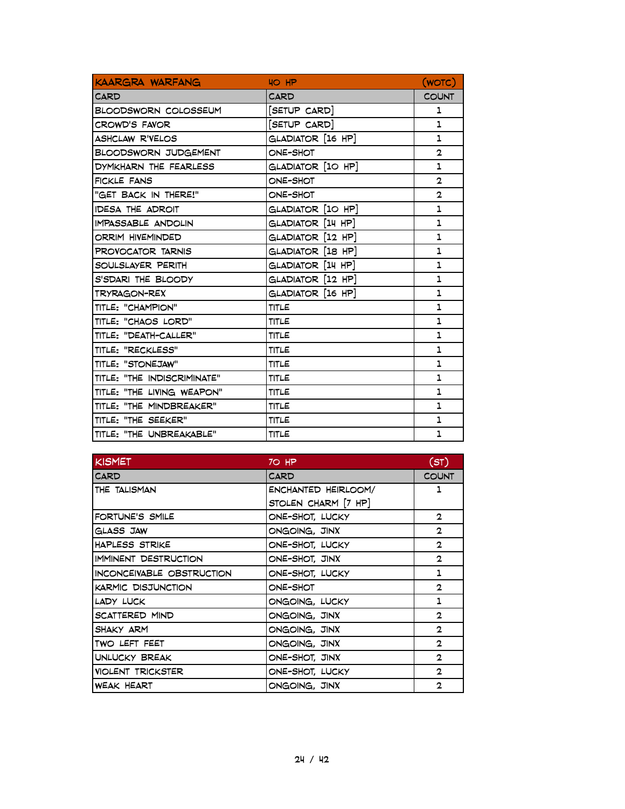| KAARGRA WARFANG             | HO HP             | (WOTC)                  |
|-----------------------------|-------------------|-------------------------|
| <b>CARD</b>                 | CARD              | <b>COUNT</b>            |
| BLOODSWORN COLOSSEUM        | [SETUP CARD]      | 1                       |
| <b>CROWD'S FAVOR</b>        | [SETUP CARD]      | 1                       |
| <b>ASHCLAW R'VELOS</b>      | GLADIATOR [16 HP] | 1                       |
| <b>BLOODSWORN JUDGEMENT</b> | ONE-SHOT          | 2                       |
| DYMKHARN THE FEARLESS       | GLADIATOR [10 HP] | 1                       |
| FICKLE FANS                 | ONE-SHOT          | 2                       |
| "GET BACK IN THERE!"        | ONE-SHOT          | $\overline{\mathbf{2}}$ |
| <b>IDESA THE ADROIT</b>     | GLADIATOR [10 HP] | 1                       |
| IMPASSABLE ANDOLIN          | GLADIATOR [14 HP] | 1                       |
| ORRIM HIVEMINDED            | GLADIATOR [12 HP] | 1                       |
| PROVOCATOR TARNIS           | GLADIATOR [18 HP] | 1                       |
| SOULSLAYER PERITH           | GLADIATOR [14 HP] | 1                       |
| S'SDARI THE BLOODY          | GLADIATOR [12 HP] | 1                       |
| TRYRAGON-REX                | GLADIATOR [16 HP] | 1                       |
| TITLE: "CHAMPION"           | TITLE             | $\mathbf{1}$            |
| TITLE: "CHAOS LORD"         | TITLE             | 1                       |
| TITLE: "DEATH-CALLER"       | TITLE             | 1                       |
| TITLE: "RECKLESS"           | TITLE             | 1                       |
| TITLE: "STONEJAW"           | TITLE             | 1                       |
| TITLE: "THE INDISCRIMINATE" | TITLE             | 1                       |
| TITLE: "THE LIVING WEAPON"  | TITLE             | 1                       |
| TITLE: "THE MINDBREAKER"    | TITLE             | 1                       |
| TITLE: "THE SEEKER"         | TITLE             | 1                       |
| TITLE: "THE UNBREAKABLE"    | TITLE             | 1                       |

| <b>KISMET</b>             | $70$ HP             | (ST)         |
|---------------------------|---------------------|--------------|
| CARD                      | <b>CARD</b>         | <b>COUNT</b> |
| THE TALISMAN              | ENCHANTED HEIRLOOM/ | ı            |
|                           | STOLEN CHARM [7 HP] |              |
| FORTUNE'S SMILE           | ONE-SHOT, LUCKY     | $\mathbf{2}$ |
| GLASS JAW                 | ONGOING, JINX       | $\mathbf{2}$ |
| <b>HAPLESS STRIKE</b>     | ONE-SHOT, LUCKY     | $\mathbf{2}$ |
| IMMINENT DESTRUCTION      | ONE-SHOT, JINX      | $\mathbf{2}$ |
| INCONCEIVABLE OBSTRUCTION | ONE-SHOT, LUCKY     | 1            |
| KARMIC DISJUNCTION        | ONE-SHOT            | $\mathbf{2}$ |
| LADY LUCK                 | ONGOING, LUCKY      | 1            |
| SCATTERED MIND            | ONGOING, JINX       | $\mathbf{2}$ |
| SHAKY ARM                 | ONGOING, JINX       | $\mathbf{2}$ |
| TWO LEFT FEET             | ONGOING, JINX       | $\mathbf{2}$ |
| UNLUCKY BREAK             | ONE-SHOT, JINX      | $\mathbf{2}$ |
| <b>VIOLENT TRICKSTER</b>  | ONE-SHOT, LUCKY     | $\mathbf{2}$ |
| <b>WEAK HEART</b>         | ONGOING, JINX       | 2            |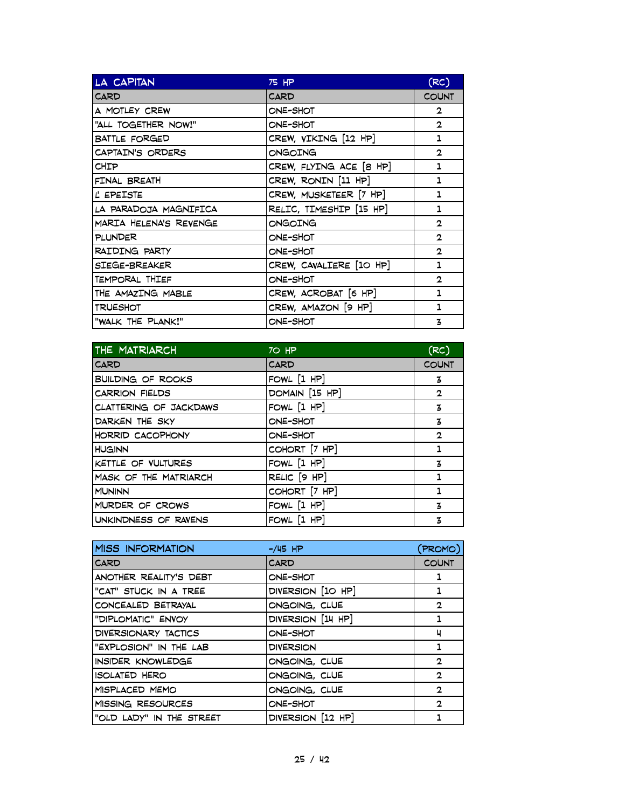| LA CAPITAN             | 75 HP                   | (RC)           |
|------------------------|-------------------------|----------------|
| CARD                   | CARD                    | <b>COUNT</b>   |
| A MOTLEY CREW          | ONE-SHOT                | $\mathbf{2}$   |
| "ALL TOGETHER NOW!"    | ONE-SHOT                | $\overline{2}$ |
| <b>BATTLE FORGED</b>   | CREW, VIKING [12 HP]    | 1              |
| CAPTAIN'S ORDERS       | ONGOING                 | $\mathbf{2}$   |
| CHIP                   | CREW, FLYING ACE [8 HP] | 1              |
| FINAL BREATH           | CREW, RONIN [11 HP]     | 1              |
| L' EPEISTE             | CREW, MUSKETEER [7 HP]  | 1              |
| LA PARADOJA MAGNIFICA  | RELIC, TIMESHIP [15 HP] | 1              |
| MARIA HELENA'S REVENGE | ONGOING                 | $\mathbf{2}$   |
| PLUNDER                | ONE-SHOT                | $\mathbf{2}$   |
| RAIDING PARTY          | ONE-SHOT                | $\mathbf{2}$   |
| SIEGE-BREAKER          | CREW, CAVALIERE [10 HP] | 1              |
| TEMPORAL THIEF         | ONE-SHOT                | 2              |
| THE AMAZING MABLE      | CREW, ACROBAT [6 HP]    | 1              |
| <b>TRUESHOT</b>        | CREW, AMAZON [9 HP]     | 1              |
| "WALK THE PLANK!"      | ONE-SHOT                | 3              |

| THE MATRIARCH            | 70 HP            | (RC)         |
|--------------------------|------------------|--------------|
| <b>CARD</b>              | <b>CARD</b>      | <b>COUNT</b> |
| <b>BUILDING OF ROOKS</b> | FOWL [1 HP]      | 3            |
| <b>CARRION FIELDS</b>    | DOMAIN [15 HP]   | $\mathbf{2}$ |
| CLATTERING OF JACKDAWS   | FOWL [1 HP]      | 3            |
| DARKEN THE SKY           | ONE-SHOT         | 3            |
| HORRID CACOPHONY         | ONE-SHOT         | $\mathbf{2}$ |
| <b>HUGINN</b>            | COHORT [7 HP]    | 1            |
| KETTLE OF VULTURES       | FOWL $[1$ HP $]$ | 3            |
| MASK OF THE MATRIARCH    | RELIC [9 HP]     | 1            |
| <b>MUNINN</b>            | COHORT [7 HP]    | 1            |
| MURDER OF CROWS          | FOWL $[1$ HP]    | 3            |
| UNKINDNESS OF RAVENS     | FOWL $[1$ HP]    | 3            |

| <b>MISS INFORMATION</b>  | $-$ /45 HP        | (PROMO)        |
|--------------------------|-------------------|----------------|
| <b>CARD</b>              | <b>CARD</b>       | <b>COUNT</b>   |
| ANOTHER REALITY'S DEBT   | ONE-SHOT          | 1              |
| "CAT" STUCK IN A TREE    | DIVERSION [10 HP] |                |
| CONCEALED BETRAYAL       | ONGOING, CLUE     | $\overline{2}$ |
| "DIPLOMATIC" ENVOY       | DIVERSION [14 HP] | 1              |
| DIVERSIONARY TACTICS     | ONE-SHOT          | ч              |
| "EXPLOSION" IN THE LAB   | <b>DIVERSION</b>  | 1              |
| INSIDER KNOWLEDGE        | ONGOING, CLUE     | 2              |
| <b>ISOLATED HERO</b>     | ONGOING, CLUE     | $\mathbf{2}$   |
| MISPLACED MEMO           | ONGOING, CLUE     | $\mathbf{2}$   |
| MISSING RESOURCES        | ONE-SHOT          | $\mathbf{2}$   |
| "OLD LADY" IN THE STREET | DIVERSION [12 HP] |                |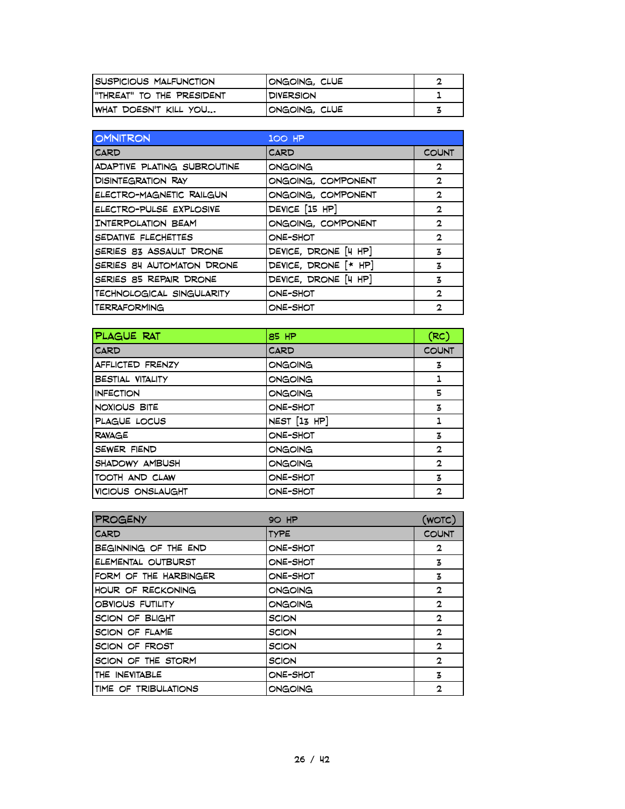| <b>ISUSPICIOUS MALFUNCTION</b> | IONGOING, CLUE   |  |
|--------------------------------|------------------|--|
| I"THREAT" TO THE PRESIDENT     | <b>DIVERSION</b> |  |
| IWHAT DOESN'T KILL YOU         | IONGOING, CLUE   |  |

| <b>OMNITRON</b>             | 100 HP                 |              |
|-----------------------------|------------------------|--------------|
| CARD                        | CARD                   | <b>COUNT</b> |
| ADAPTIVE PLATING SUBROUTINE | <b>ONGOING</b>         | 2            |
| <b>DISINTEGRATION RAY</b>   | ONGOING, COMPONENT     | 2            |
| ELECTRO-MAGNETIC RAILGUN    | ONGOING, COMPONENT     | 2            |
| ELECTRO-PULSE EXPLOSIVE     | DEVICE [15 HP]         | $\mathbf{2}$ |
| INTERPOLATION BEAM          | ONGOING, COMPONENT     | 2            |
| SEDATIVE FLECHETTES         | ONE-SHOT               | 2            |
| SERIES 83 ASSAULT DRONE     | DEVICE, DRONE [4 HP]   | 3            |
| SERIES 84 AUTOMATON DRONE   | DEVICE, DRONE $[* HP]$ | 3            |
| SERIES 85 REPAIR DRONE      | DEVICE, DRONE [4 HP]   | 3            |
| TECHNOLOGICAL SINGULARITY   | ONE-SHOT               | 2            |
| <b>TERRAFORMING</b>         | ONE-SHOT               | 2            |

| PLAGUE RAT              | 85 HP            | (RC)         |
|-------------------------|------------------|--------------|
| <b>CARD</b>             | <b>CARD</b>      | <b>COUNT</b> |
| AFFLICTED FRENZY        | ONGOING          | 3            |
| <b>BESTIAL VITALITY</b> | ONGOING          |              |
| <b>INFECTION</b>        | ONGOING          | 5            |
| NOXIOUS BITE            | ONE-SHOT         | 3            |
| PLAGUE LOCUS            | $NEST$ $[13$ HP] | 1            |
| <b>RAVAGE</b>           | ONE-SHOT         | 3            |
| SEWER FIEND             | ONGOING          | $\mathbf{2}$ |
| SHADOWY AMBUSH          | ONGOING          | $\mathbf{2}$ |
| TOOTH AND CLAW          | ONE-SHOT         | 3            |
| VICIOUS ONSLAUGHT       | ONE-SHOT         | $\mathbf{2}$ |

| <b>PROGENY</b>        | <b>90 HP</b> | (WOTC)         |
|-----------------------|--------------|----------------|
| <b>CARD</b>           | <b>TYPE</b>  | <b>COUNT</b>   |
| BEGINNING OF THE END  | ONE-SHOT     | $\overline{2}$ |
| ELEMENTAL OUTBURST    | ONE-SHOT     | 3              |
| FORM OF THE HARBINGER | ONE-SHOT     | 3              |
| HOUR OF RECKONING     | ONGOING      | $\mathbf{2}$   |
| OBVIOUS FUTILITY      | ONGOING      | $\mathbf{2}$   |
| SCION OF BLIGHT       | <b>SCION</b> | $\overline{2}$ |
| SCION OF FLAME        | <b>SCION</b> | $\mathbf{2}$   |
| SCION OF FROST        | <b>SCION</b> | $\mathbf{2}$   |
| SCION OF THE STORM    | <b>SCION</b> | $\mathbf{2}$   |
| THE INEVITABLE        | ONE-SHOT     | 3              |
| TIME OF TRIBULATIONS  | ONGOING      | $\mathbf{2}$   |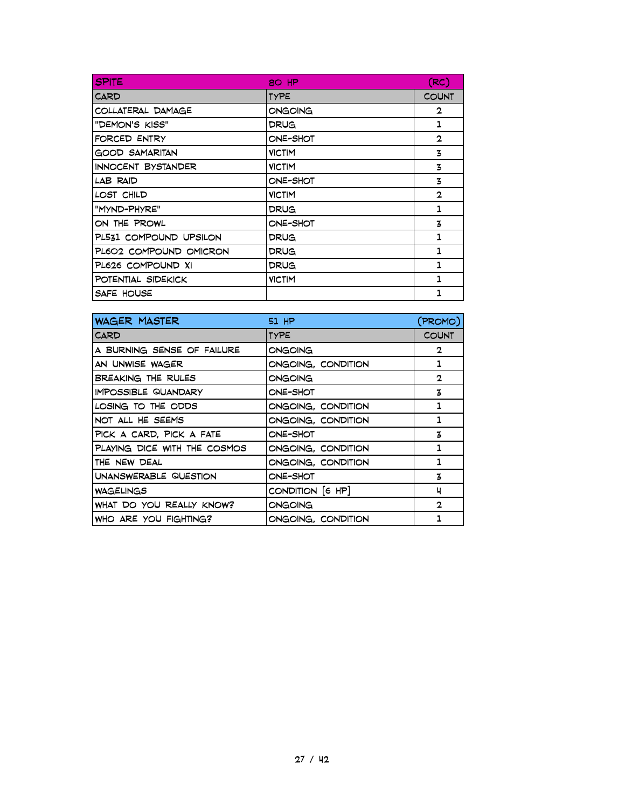| <b>SPITE</b>              | 80 HP         | (RC)           |
|---------------------------|---------------|----------------|
| CARD                      | <b>TYPE</b>   | <b>COUNT</b>   |
| COLLATERAL DAMAGE         | ONGOING       | $\overline{2}$ |
| "DEMON'S KISS"            | DRUG          | 1              |
| FORCED ENTRY              | ONE-SHOT      | $\mathbf{2}$   |
| <b>GOOD SAMARITAN</b>     | <b>VICTIM</b> | 3              |
| <b>INNOCENT BYSTANDER</b> | <b>VICTIM</b> | 3              |
| LAB RAID                  | ONE-SHOT      | 3              |
| LOST CHILD                | <b>VICTIM</b> | $\mathbf{2}$   |
| "MYND-PHYRE"              | DRUG          | 1              |
| ON THE PROWL              | ONE-SHOT      | 3              |
| PL531 COMPOUND UPSILON    | DRUG          | 1              |
| PL602 COMPOUND OMICRON    | DRUG          | 1              |
| PL626 COMPOUND XI         | DRUG          | 1              |
| POTENTIAL SIDEKICK        | <b>VICTIM</b> | 1              |
| SAFE HOUSE                |               | 1              |

| <b>WAGER MASTER</b>          | 51 HP              | (PROMO)      |
|------------------------------|--------------------|--------------|
| <b>CARD</b>                  | <b>TYPE</b>        | <b>COUNT</b> |
| A BURNING SENSE OF FAILURE   | ONGOING            | $\mathbf{2}$ |
| AN UNWISE WAGER              | ONGOING, CONDITION | 1            |
| BREAKING THE RULES           | ONGOING            | $\mathbf{2}$ |
| <b>IMPOSSIBLE QUANDARY</b>   | ONE-SHOT           | 3            |
| LOSING TO THE ODDS           | ONGOING, CONDITION | 1            |
| NOT ALL HE SEEMS             | ONGOING, CONDITION | 1            |
| PICK A CARD, PICK A FATE     | ONE-SHOT           | 3            |
| PLAYING DICE WITH THE COSMOS | ONGOING, CONDITION | 1            |
| THE NEW DEAL                 | ONGOING, CONDITION | 1            |
| UNANSWERABLE QUESTION        | ONE-SHOT           | 3            |
| <b>WAGELINGS</b>             | CONDITION [6 HP]   | ч            |
| WHAT DO YOU REALLY KNOW?     | ONGOING            | $\mathbf{2}$ |
| WHO ARE YOU FIGHTING?        | ONGOING, CONDITION | 1            |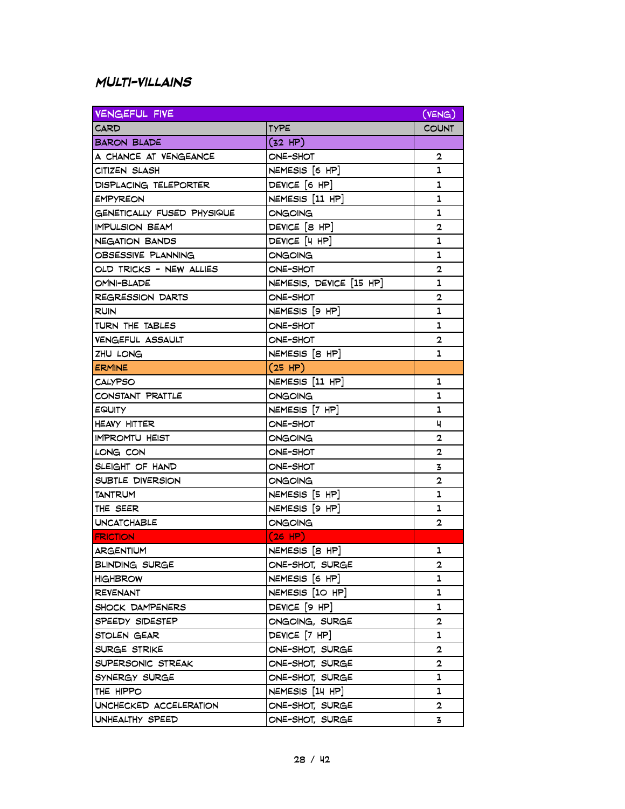### **Multi-villains**

| <b>VENGEFUL FIVE</b>       |                         | (VENG)         |
|----------------------------|-------------------------|----------------|
| CARD                       | <b>TYPE</b>             | <b>COUNT</b>   |
| <b>BARON BLADE</b>         | $(32$ HP)               |                |
| A CHANCE AT VENGEANCE      | ONE-SHOT                | 2              |
| CITIZEN SLASH              | NEMESIS [6 HP]          | 1              |
| DISPLACING TELEPORTER      | DEVICE [6 HP]           | 1              |
| EMPYREON                   | NEMESIS [11 HP]         | 1              |
| GENETICALLY FUSED PHYSIQUE | ONGOING                 | 1              |
| <b>IMPULSION BEAM</b>      | DEVICE [8 HP]           | $\overline{2}$ |
| NEGATION BANDS             | DEVICE [4 HP]           | 1              |
| OBSESSIVE PLANNING         | ONGOING                 | 1              |
| OLD TRICKS - NEW ALLIES    | ONE-SHOT                | $\overline{2}$ |
| OMNI-BLADE                 | NEMESIS, DEVICE [15 HP] | 1              |
| REGRESSION DARTS           | ONE-SHOT                | 2              |
| <b>RUIN</b>                | NEMESIS [9 HP]          | 1              |
| TURN THE TABLES            | ONE-SHOT                | 1              |
| <b>VENGEFUL ASSAULT</b>    | ONE-SHOT                | $\overline{2}$ |
| ZHU LONG                   | NEMESIS [8 HP]          | 1              |
| ERMINE                     | $(25$ HP)               |                |
| <b>CALYPSO</b>             | NEMESIS [11 HP]         | 1              |
| CONSTANT PRATTLE           | <b>ONGOING</b>          | 1              |
| EQUITY                     | NEMESIS [7 HP]          | 1              |
| HEAVY HITTER               | ONE-SHOT                | ч              |
| IMPROMTU HEIST             | ONGOING                 | $\mathbf{2}$   |
| LONG CON                   | ONE-SHOT                | $\mathbf{2}$   |
| SLEIGHT OF HAND            | ONE-SHOT                | 3              |
| SUBTLE DIVERSION           | ONGOING                 | $\overline{2}$ |
| TANTRUM                    | NEMESIS [5 HP]          | 1              |
| THE SEER                   | NEMESIS [9 HP]          | 1              |
| UNCATCHABLE                | ONGOING                 | 2              |
| <b>FRICTION</b>            | $(26$ HP)               |                |
| ARGENTIUM                  | NEMESIS [8 HP]          | 1              |
| BLINDING SURGE             | ONE-SHOT, SURGE         | 2              |
| <b>HIGHBROW</b>            | NEMESIS [6 HP]          | 1              |
| <b>REVENANT</b>            | NEMESIS [10 HP]         | 1              |
| SHOCK DAMPENERS            | DEVICE [9 HP]           | 1              |
| SPEEDY SIDESTEP            | ONGOING, SURGE          | 2              |
| STOLEN GEAR                | DEVICE [7 HP]           | 1              |
| SURGE STRIKE               | ONE-SHOT, SURGE         | 2              |
| SUPERSONIC STREAK          | ONE-SHOT, SURGE         | 2              |
| SYNERGY SURGE              | ONE-SHOT, SURGE         | 1              |
| THE HIPPO                  | NEMESIS [14 HP]         | 1              |
| UNCHECKED ACCELERATION     | ONE-SHOT, SURGE         | 2              |
| UNHEALTHY SPEED            | ONE-SHOT, SURGE         | 3              |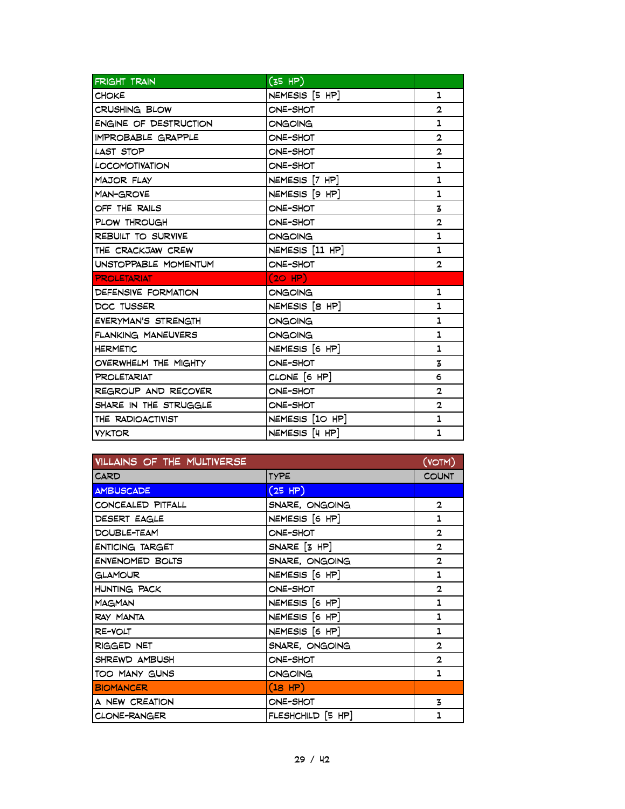| <b>FRIGHT TRAIN</b>       | (35 HP)           |                |
|---------------------------|-------------------|----------------|
| <b>CHOKE</b>              | NEMESIS [5 HP]    | $\mathbf{1}$   |
| <b>CRUSHING BLOW</b>      | ONE-SHOT          | $\mathbf{2}$   |
| ENGINE OF DESTRUCTION     | ONGOING           | 1              |
| <b>IMPROBABLE GRAPPLE</b> | ONE-SHOT          | $\overline{2}$ |
| LAST STOP                 | ONE-SHOT          | $\mathbf{2}$   |
| <b>LOCOMOTIVATION</b>     | ONE-SHOT          | 1              |
| <b>MAJOR FLAY</b>         | NEMESIS [7 HP]    | 1              |
| MAN-GROVE                 | NEMESIS [9 HP]    | 1              |
| OFF THE RAILS             | ONE-SHOT          | 3              |
| PLOW THROUGH              | ONE-SHOT          | $\overline{2}$ |
| REBUILT TO SURVIVE        | ONGOING           | 1              |
| THE CRACKJAW CREW         | NEMESIS [11 HP]   | 1              |
| UNSTOPPABLE MOMENTUM      | ONE-SHOT          | $\mathbf{2}$   |
| <b>PROLETARIAT</b>        | $(2O$ HP)         |                |
| DEFENSIVE FORMATION       | <b>ONGOING</b>    | 1              |
| DOC TUSSER                | NEMESIS [8 HP]    | 1              |
| EVERYMAN'S STRENGTH       | ONGOING           | 1              |
| FLANKING MANEUVERS        | <b>ONGOING</b>    | 1              |
| <b>HERMETIC</b>           | NEMESIS [6 HP]    | 1              |
| OVERWHELM THE MIGHTY      | ONE-SHOT          | 3              |
| PROLETARIAT               | CLONE $[6$ HP $]$ | 6              |
| REGROUP AND RECOVER       | ONE-SHOT          | $\overline{2}$ |
| SHARE IN THE STRUGGLE     | ONE-SHOT          | $\overline{2}$ |
| THE RADIOACTIVIST         | NEMESIS [10 HP]   | $\mathbf{1}$   |
| <b>VYKTOR</b>             | NEMESIS [4 HP]    | 1              |

| VILLAINS OF THE MULTIVERSE |                    | (VOTM)       |
|----------------------------|--------------------|--------------|
| <b>CARD</b>                | <b>TYPE</b>        | <b>COUNT</b> |
| <b>AMBUSCADE</b>           | (25 HP)            |              |
| CONCEALED PITFALL          | SNARE, ONGOING     | $\mathbf{2}$ |
| DESERT EAGLE               | NEMESIS [6 HP]     | 1            |
| DOUBLE-TEAM                | ONE-SHOT           | $\mathbf{2}$ |
| <b>ENTICING TARGET</b>     | $SNARE$ $[3$ $HP]$ | $\mathbf{2}$ |
| <b>ENVENOMED BOLTS</b>     | SNARE, ONGOING     | $\mathbf{2}$ |
| <b>GLAMOUR</b>             | NEMESIS [6 HP]     | 1            |
| <b>HUNTING PACK</b>        | ONE-SHOT           | $\mathbf{2}$ |
| <b>MAGMAN</b>              | NEMESIS [6 HP]     | 1            |
| RAY MANTA                  | NEMESIS [6 HP]     | 1            |
| RE-VOLT                    | NEMESIS [6 HP]     | 1            |
| RIGGED NET                 | SNARE, ONGOING     | $\mathbf{2}$ |
| SHREWD AMBUSH              | ONE-SHOT           | $\mathbf{2}$ |
| TOO MANY GUNS              | ONGOING            | 1            |
| <b>BIOMANCER</b>           | (18 HP)            |              |
| A NEW CREATION             | ONE-SHOT           | 3            |
| CLONE-RANGER               | FLESHCHILD [5 HP]  | 1            |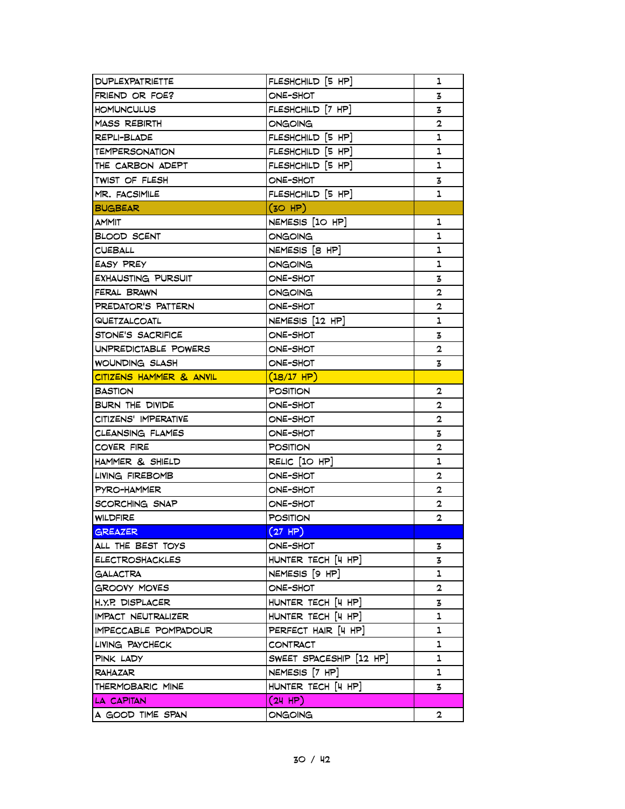| DUPLEXPATRIETTE           | FLESHCHILD [5 HP]       | 1              |
|---------------------------|-------------------------|----------------|
| FRIEND OR FOE?            | ONE-SHOT                | 3              |
| <b>HOMUNCULUS</b>         | FLESHCHILD [7 HP]       | 3              |
| MASS REBIRTH              | ONGOING                 | $\mathbf 2$    |
| REPLI-BLADE               | FLESHCHILD [5 HP]       | 1              |
| TEMPERSONATION            | FLESHCHILD [5 HP]       | 1              |
| THE CARBON ADEPT          | FLESHCHILD [5 HP]       | ı              |
| TWIST OF FLESH            | ONE-SHOT                | 3              |
| MR. FACSIMILE             | FLESHCHILD [5 HP]       | ı              |
| <b>BUGBEAR</b>            | (30 HP)                 |                |
| <b>AMMIT</b>              | NEMESIS [10 HP]         | ı              |
| <b>BLOOD SCENT</b>        | ONGOING                 | 1              |
| <b>CUEBALL</b>            | NEMESIS [8 HP]          | 1              |
| EASY PREY                 | ONGOING                 | ı              |
| <b>EXHAUSTING PURSUIT</b> | ONE-SHOT                | 3              |
| FERAL BRAWN               | ONGOING                 | 2              |
| PREDATOR'S PATTERN        | ONE-SHOT                | $\overline{2}$ |
| QUETZALCOATL              | NEMESIS [12 HP]         | 1              |
| STONE'S SACRIFICE         | ONE-SHOT                | 3              |
| UNPREDICTABLE POWERS      | ONE-SHOT                | 2              |
| WOUNDING SLASH            | ONE-SHOT                | 3              |
| CITIZENS HAMMER & ANVIL   | $(18/17$ HP)            |                |
| <b>BASTION</b>            | <b>POSITION</b>         | 2              |
| BURN THE DIVIDE           | ONE-SHOT                | $\overline{2}$ |
| CITIZENS' IMPERATIVE      | ONE-SHOT                | $\mathbf{2}$   |
| CLEANSING FLAMES          | ONE-SHOT                | 3              |
| COVER FIRE                | <b>POSITION</b>         | $\overline{2}$ |
| HAMMER & SHIELD           | RELIC [10 HP]           | 1              |
| LIVING FIREBOMB           | ONE-SHOT                | 2              |
| PYRO-HAMMER               | ONE-SHOT                | 2              |
| SCORCHING SNAP            | ONE-SHOT                | $\mathbf{2}$   |
| WILDFIRE                  | <b>POSITION</b>         | $\mathbf{2}$   |
| GREAZER                   | (27 HP)                 |                |
| ALL THE BEST TOYS         | ONE-SHOT                | 3              |
| <b>ELECTROSHACKLES</b>    | HUNTER TECH [4 HP]      | 3              |
| <b>GALACTRA</b>           | NEMESIS [9 HP]          | 1              |
| GROOVY MOVES              | ONE-SHOT                | $\overline{2}$ |
| H.Y.P. DISPLACER          | HUNTER TECH [4 HP]      | 3              |
| <b>IMPACT NEUTRALIZER</b> | HUNTER TECH [4 HP]      | 1              |
| IMPECCABLE POMPADOUR      | PERFECT HAIR [4 HP]     | 1              |
| LIVING PAYCHECK           | CONTRACT                | ı              |
| PINK LADY                 | SWEET SPACESHIP [12 HP] | ı              |
| <b>RAHAZAR</b>            | NEMESIS [7 HP]          | ı              |
| THERMOBARIC MINE          | HUNTER TECH [4 HP]      | 3              |
| LA CAPITAN                | (24 HP)                 |                |
| A GOOD TIME SPAN          | ONGOING                 | $\overline{2}$ |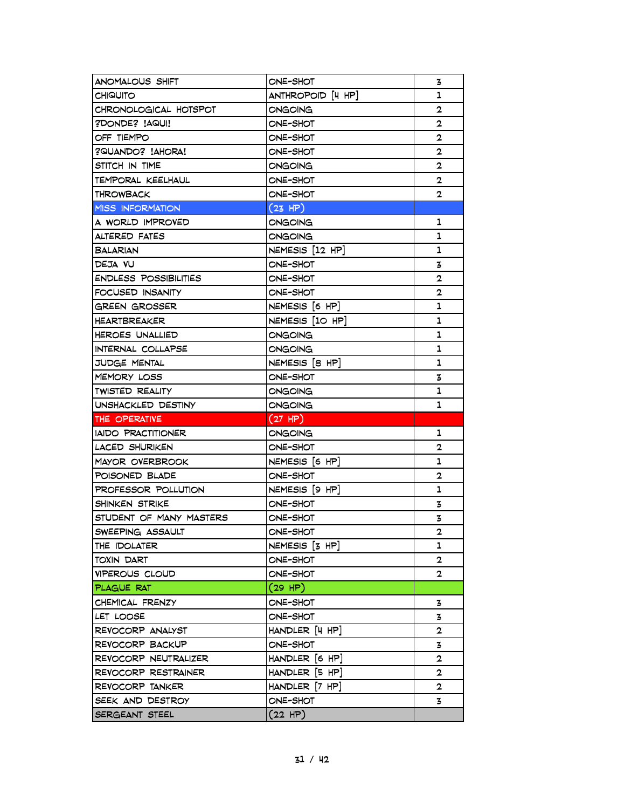| ANOMALOUS SHIFT              | ONE-SHOT             | 3              |
|------------------------------|----------------------|----------------|
| <b>CHIQUITO</b>              | ANTHROPOID [4 HP]    | 1              |
| CHRONOLOGICAL HOTSPOT        | ONGOING              | 2              |
| ?DONDE? !AQUI!               | ONE-SHOT             | $\mathbf 2$    |
| OFF TIEMPO                   | ONE-SHOT             | $\mathbf{2}$   |
| ?QUANDO? !AHORA!             | ONE-SHOT             | $\overline{2}$ |
| STITCH IN TIME               | ONGOING              | $\overline{2}$ |
| TEMPORAL KEELHAUL            | ONE-SHOT             | 2              |
| THROWBACK                    | ONE-SHOT             | $\mathbf{2}$   |
| <b>MISS INFORMATION</b>      | (23 HP)              |                |
| A WORLD IMPROVED             | ONGOING              | ı              |
| ALTERED FATES                | ONGOING              | 1              |
| <b>BALARIAN</b>              | $NEMESIS$ $[12$ HP]  | 1              |
| DEJA VU                      | ONE-SHOT             | 3              |
| <b>ENDLESS POSSIBILITIES</b> | ONE-SHOT             | 2              |
| FOCUSED INSANITY             | ONE-SHOT             | 2              |
| GREEN GROSSER                | NEMESIS [6 HP]       | 1              |
| HEARTBREAKER                 | NEMESIS [10 HP]      | 1              |
| HEROES UNALLIED              | ONGOING              | 1              |
| INTERNAL COLLAPSE            | ONGOING              | 1              |
| JUDGE MENTAL                 | NEMESIS [8 HP]       | 1              |
| MEMORY LOSS                  | ONE-SHOT             | 3              |
| <b>TWISTED REALITY</b>       | ONGOING              | 1              |
|                              |                      |                |
| UNSHACKLED DESTINY           | ONGOING              | ı              |
| THE OPERATIVE                | (27 HP)              |                |
| IAIDO PRACTITIONER           | ONGOING              | 1              |
| LACED SHURIKEN               | ONE-SHOT             | $\overline{2}$ |
| MAYOR OVERBROOK              | NEMESIS [6 HP]       | 1              |
| POISONED BLADE               | ONE-SHOT             | 2              |
| PROFESSOR POLLUTION          | NEMESIS [9 HP]       | 1              |
| SHINKEN STRIKE               | ONE-SHOT             | 3              |
| STUDENT OF MANY MASTERS      | ONE-SHOT             | 3              |
| SWEEPING ASSAULT             | ONE-SHOT             | 2              |
| THE IDOLATER                 | $NEMESIS$ $[3$ $HP]$ | 1              |
| TOXIN DART                   | ONE-SHOT             | 2              |
| <b>VIPEROUS CLOUD</b>        | ONE-SHOT             | $\mathbf{2}$   |
| PLAGUE RAT                   | (29 HP)              |                |
| CHEMICAL FRENZY              | ONE-SHOT             | 3              |
| LET LOOSE                    | ONE-SHOT             | 3              |
| REVOCORP ANALYST             | HANDLER [4 HP]       | 2              |
| REVOCORP BACKUP              | ONE-SHOT             | 3              |
| REVOCORP NEUTRALIZER         | HANDLER [6 HP]       | $\overline{2}$ |
| REVOCORP RESTRAINER          | HANDLER [5 HP]       | $\overline{2}$ |
| REVOCORP TANKER              | $HANDLER$ $[7 HP]$   | $\mathbf 2$    |
| SEEK AND DESTROY             | ONE-SHOT             | 3              |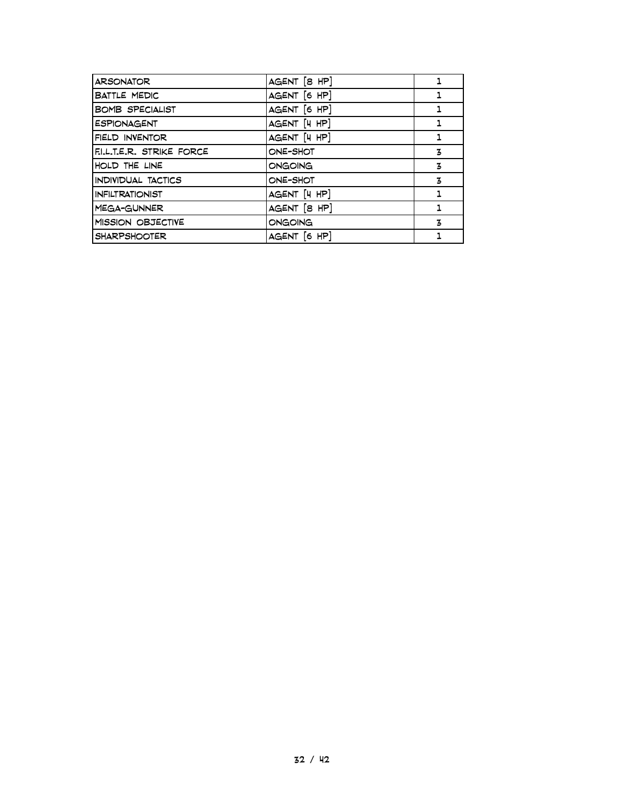| <b>ARSONATOR</b>       | AGENT [8 HP] |    |
|------------------------|--------------|----|
| <b>BATTLE MEDIC</b>    | AGENT [6 HP] |    |
| <b>BOMB SPECIALIST</b> | AGENT [6 HP] | 1  |
| <b>ESPIONAGENT</b>     | AGENT [4 HP] | 1  |
| FIELD INVENTOR         | AGENT [4 HP] | 1. |
| FILLTER. STRIKE FORCE  | ONE-SHOT     | 3  |
| HOLD THE LINE          | ONGOING      | 3  |
| INDIVIDUAL TACTICS     | ONE-SHOT     | 3  |
| <b>INFILTRATIONIST</b> | AGENT [4 HP] | 1  |
| MEGA-GUNNER            | AGENT [8 HP] | 1  |
| MISSION OBJECTIVE      | ONGOING      | 3  |
| <b>SHARPSHOOTER</b>    | AGENT [6 HP] |    |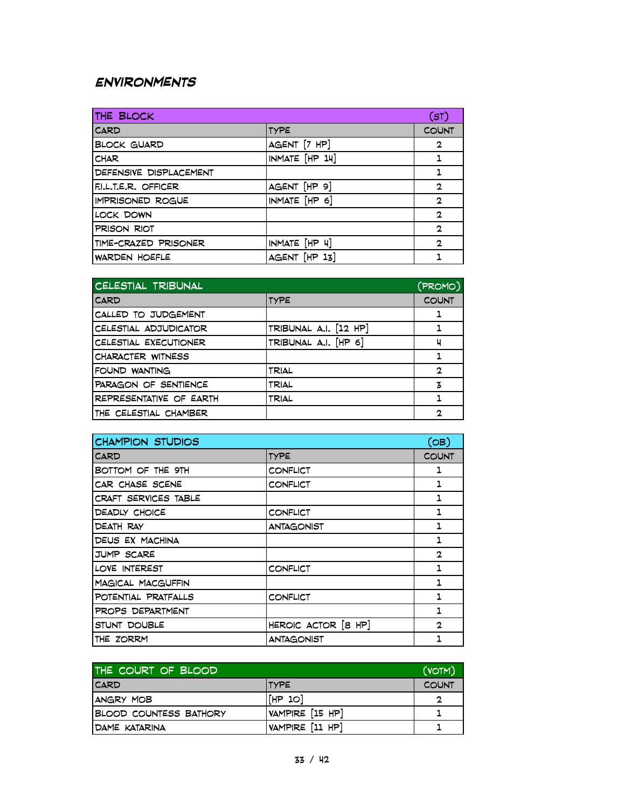## **Environments**

| THE BLOCK               |                | (ST)         |
|-------------------------|----------------|--------------|
| <b>CARD</b>             | <b>TYPE</b>    | <b>COUNT</b> |
| <b>BLOCK GUARD</b>      | AGENT [7 HP]   | $\mathbf{2}$ |
| <b>CHAR</b>             | INMATE [HP 14] | 1            |
| DEFENSIVE DISPLACEMENT  |                | 1            |
| FILLTER, OFFICER        | AGENT [HP 9]   | $\mathbf{2}$ |
| <b>IMPRISONED ROGUE</b> | INMATE [HP 6]  | $\mathbf{2}$ |
| LOCK DOWN               |                | $\mathbf{2}$ |
| PRISON RIOT             |                | $\mathbf{2}$ |
| TIME-CRAZED PRISONER    | INMATE [HP 4]  | $\mathbf{2}$ |
| <b>WARDEN HOEFLE</b>    | AGENT [HP 13]  |              |

| CELESTIAL TRIBUNAL      |                       | (PROMO)      |
|-------------------------|-----------------------|--------------|
| <b>CARD</b>             | <b>TYPE</b>           | <b>COUNT</b> |
| CALLED TO JUDGEMENT     |                       |              |
| CELESTIAL ADJUDICATOR   | TRIBUNAL A.I. [12 HP] |              |
| CELESTIAL EXECUTIONER   | TRIBUNAL A.I. [HP 6]  | ц            |
| CHARACTER WITNESS       |                       |              |
| FOUND WANTING           | TRIAL                 | $\mathbf{2}$ |
| PARAGON OF SENTIENCE    | TRIAL                 | 3            |
| REPRESENTATIVE OF EARTH | TRIAL                 |              |
| THE CELESTIAL CHAMBER   |                       | 2            |

| <b>CHAMPION STUDIOS</b> |                     | (OB)         |
|-------------------------|---------------------|--------------|
| CARD                    | <b>TYPE</b>         | <b>COUNT</b> |
| BOTTOM OF THE 9TH       | CONFLICT            | 1            |
| CAR CHASE SCENE         | CONFLICT            | 1            |
| CRAFT SERVICES TABLE    |                     | 1            |
| DEADLY CHOICE           | CONFLICT            | 1            |
| DEATH RAY               | ANTAGONIST          | 1            |
| DEUS EX MACHINA         |                     | 1            |
| JUMP SCARE              |                     | $\mathbf{2}$ |
| LOVE INTEREST           | CONFLICT            | 1            |
| MAGICAL MACGUFFIN       |                     | 1            |
| POTENTIAL PRATFALLS     | CONFLICT            | 1            |
| PROPS DEPARTMENT        |                     | 1            |
| STUNT DOUBLE            | HEROIC ACTOR [8 HP] | $\mathbf{2}$ |
| THE ZORRM               | ANTAGONIST          | 1            |

| THE COURT OF BLOOD            |                 | (VOTM)       |
|-------------------------------|-----------------|--------------|
| <b>ICARD</b>                  | <b>ITYPE</b>    | <b>COUNT</b> |
| ANGRY MOB                     | [HP 10]         | C            |
| <b>BLOOD COUNTESS BATHORY</b> | VAMPIRE [15 HP] |              |
| IDAME KATARINA                | VAMPIRE [11 HP] |              |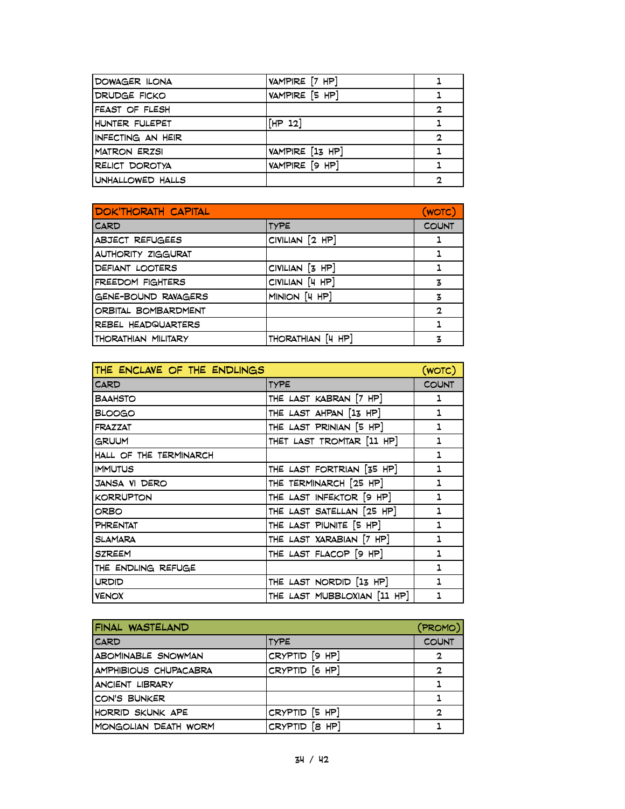| DOWAGER ILONA       | VAMPIRE [7 HP]  |   |
|---------------------|-----------------|---|
| DRUDGE FICKO        | VAMPIRE [5 HP]  |   |
| FEAST OF FLESH      |                 | 2 |
| HUNTER FULEPET      | [HP 12]         |   |
| INFECTING AN HEIR   |                 | 2 |
| <b>MATRON ERZSI</b> | VAMPIRE [13 HP] |   |
| RELICT DOROTYA      | VAMPIRE [9 HP]  |   |
| UNHALLOWED HALLS    |                 | 2 |

| <b>DOK'THORATH CAPITAL</b> |                   | (WOTC)       |
|----------------------------|-------------------|--------------|
| <b>CARD</b>                | TYPE              | <b>COUNT</b> |
| <b>ABJECT REFUGEES</b>     | CIVILIAN [2 HP]   |              |
| <b>AUTHORITY ZIGGURAT</b>  |                   |              |
| DEFIANT LOOTERS            | CIVILIAN [3 HP]   |              |
| FREEDOM FIGHTERS           | CIVILIAN [4 HP]   | 3            |
| GENE-BOUND RAVAGERS        | MINION [4 HP]     | 3            |
| ORBITAL BOMBARDMENT        |                   | 2            |
| REBEL HEADQUARTERS         |                   |              |
| THORATHIAN MILITARY        | THORATHIAN [4 HP] |              |

| THE ENCLAVE OF THE ENDLINGS |                             | (WOTC)       |
|-----------------------------|-----------------------------|--------------|
| CARD                        | <b>TYPE</b>                 | <b>COUNT</b> |
| <b>BAAHSTO</b>              | THE LAST KABRAN [7 HP]      | ı            |
| <b>BLOOGO</b>               | THE LAST AHPAN [13 HP]      | 1            |
| <b>FRAZZAT</b>              | THE LAST PRINIAN [5 HP]     | 1            |
| <b>GRUUM</b>                | THET LAST TROMTAR [11 HP]   | 1            |
| HALL OF THE TERMINARCH      |                             | 1            |
| <b>IMMUTUS</b>              | THE LAST FORTRIAN [35 HP]   | 1            |
| JANSA VI DERO               | THE TERMINARCH [25 HP]      | 1            |
| <b>KORRUPTON</b>            | THE LAST INFEKTOR [9 HP]    | 1            |
| ORBO                        | THE LAST SATELLAN [25 HP]   | 1            |
| <b>PHRENTAT</b>             | THE LAST PIUNITE [5 HP]     | 1            |
| <b>SLAMARA</b>              | THE LAST XARABIAN [7 HP]    | 1            |
| <b>SZREEM</b>               | THE LAST FLACOP [9 HP]      | 1            |
| THE ENDLING REFUGE          |                             | 1            |
| <b>URDID</b>                | THE LAST NORDID [13 HP]     | 1            |
| <b>VENOX</b>                | THE LAST MUBBLOXIAN [11 HP] | 1            |

| FINAL WASTELAND              |                | (PROMO)      |
|------------------------------|----------------|--------------|
| <b>CARD</b>                  | <b>TYPE</b>    | <b>COUNT</b> |
| ABOMINABLE SNOWMAN           | CRYPTID [9 HP] | 2            |
| <b>AMPHIBIOUS CHUPACABRA</b> | CRYPTID [6 HP] | 2            |
| <b>ANCIENT LIBRARY</b>       |                |              |
| CON'S BUNKER                 |                |              |
| HORRID SKUNK APE             | CRYPTID [5 HP] | $\mathbf{2}$ |
| MONGOLIAN DEATH WORM         | CRYPTID [8 HP] |              |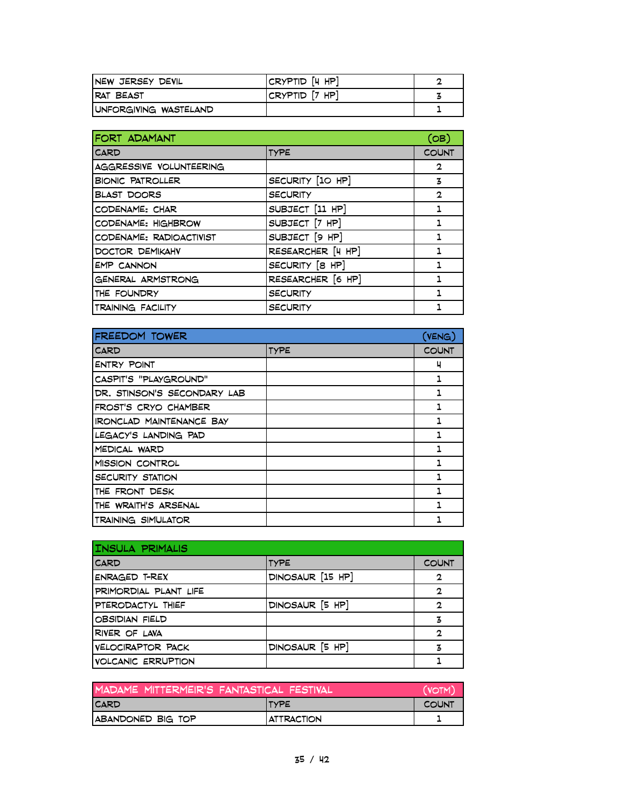| <b>INEW JERSEY DEVIL</b> | CRYPTID [4 HP]         |  |
|--------------------------|------------------------|--|
| IRAT BEAST               | $ CRYPTID$ $[7$ HP $]$ |  |
| UNFORGIVING WASTELAND    |                        |  |

| FORT ADAMANT             |                   | (OB)           |
|--------------------------|-------------------|----------------|
| <b>CARD</b>              | <b>TYPE</b>       | <b>COUNT</b>   |
| AGGRESSIVE VOLUNTEERING  |                   | $\overline{2}$ |
| <b>BIONIC PATROLLER</b>  | SECURITY [10 HP]  | 3              |
| <b>BLAST DOORS</b>       | <b>SECURITY</b>   | $\mathbf{2}$   |
| CODENAME: CHAR           | SUBJECT [11 HP]   | 1              |
| CODENAME: HIGHBROW       | SUBJECT [7 HP]    | 1              |
| CODENAME: RADIOACTIVIST  | SUBJECT [9 HP]    |                |
| DOCTOR DEMIKAHV          | RESEARCHER [4 HP] |                |
| <b>EMP CANNON</b>        | SECURITY [8 HP]   |                |
| GENERAL ARMSTRONG        | RESEARCHER [6 HP] | 1              |
| THE FOUNDRY              | <b>SECURITY</b>   | 1              |
| <b>TRAINING FACILITY</b> | <b>SECURITY</b>   |                |

| FREEDOM TOWER               |             | $($ VENG $)$ |
|-----------------------------|-------------|--------------|
| <b>CARD</b>                 | <b>TYPE</b> | <b>COUNT</b> |
| ENTRY POINT                 |             | ч            |
| CASPIT'S "PLAYGROUND"       |             |              |
| DR. STINSON'S SECONDARY LAB |             |              |
| IFROST'S CRYO CHAMBER       |             |              |
| IRONCLAD MAINTENANCE BAY    |             |              |
| LEGACY'S LANDING PAD        |             | 1.           |
| MEDICAL WARD                |             |              |
| IMISSION CONTROL            |             |              |
| SECURITY STATION            |             | 1.           |
| <b>ITHE FRONT DESK</b>      |             |              |
| THE WRAITH'S ARSENAL        |             |              |
| <b>TRAINING SIMULATOR</b>   |             |              |

| <b>INSULA PRIMALIS</b>    |                  |              |
|---------------------------|------------------|--------------|
| <b>CARD</b>               | <b>TYPE</b>      | <b>COUNT</b> |
| ENRAGED T-REX             | DINOSAUR [15 HP] | 2            |
| PRIMORDIAL PLANT LIFE     |                  | 2            |
| PTERODACTYL THIEF         | DINOSAUR [5 HP]  | 2            |
| <b>OBSIDIAN FIELD</b>     |                  | 3            |
| RIVER OF LAVA             |                  | 2            |
| <b>VELOCIRAPTOR PACK</b>  | DINOSAUR [5 HP]  |              |
| <b>VOLCANIC ERRUPTION</b> |                  |              |

| MADAME MITTERMEIR'S FANTASTICAL FESTIVAL |                   | <b>(VOTM)</b> |
|------------------------------------------|-------------------|---------------|
| <b>ITYPE</b><br><b>ICARD</b>             |                   | <b>COUNT</b>  |
| ABANDONED BIG TOP                        | <b>ATTRACTION</b> |               |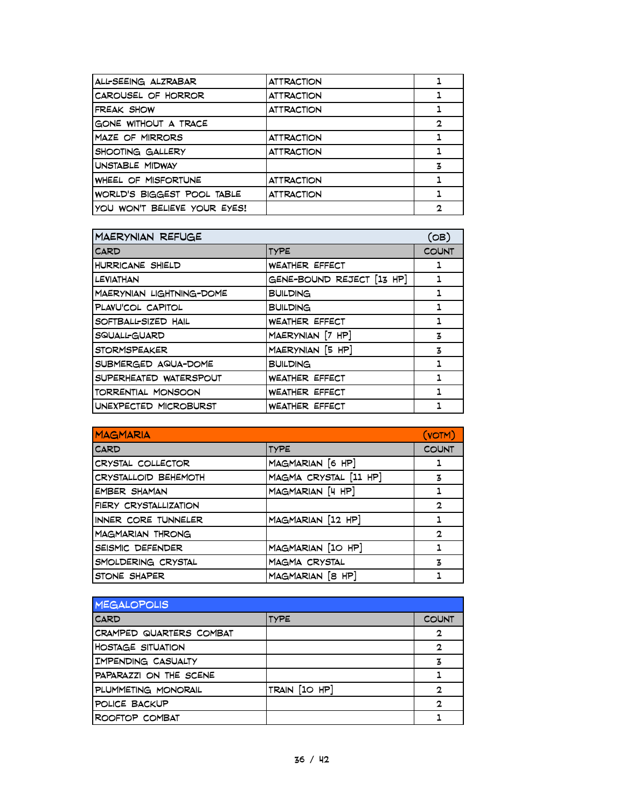| ALL-SEEING ALZRABAR          | ATTRACTION        |              |
|------------------------------|-------------------|--------------|
| CAROUSEL OF HORROR           | <b>ATTRACTION</b> |              |
| FREAK SHOW                   | <b>ATTRACTION</b> |              |
| GONE WITHOUT A TRACE         |                   | $\mathbf{2}$ |
| MAZE OF MIRRORS              | <b>ATTRACTION</b> |              |
| SHOOTING GALLERY             | <b>ATTRACTION</b> |              |
| UNSTABLE MIDWAY              |                   | z            |
| WHEEL OF MISFORTUNE          | <b>ATTRACTION</b> |              |
| WORLD'S BIGGEST POOL TABLE   | <b>ATTRACTION</b> |              |
| YOU WON'T BELIEVE YOUR EYES! |                   | 2            |

| <b>MAERYNIAN REFUGE</b>   |                           | (OB)         |
|---------------------------|---------------------------|--------------|
| <b>CARD</b>               | <b>TYPE</b>               | <b>COUNT</b> |
| HURRICANE SHIELD          | <b>WEATHER EFFECT</b>     | ı            |
| LEVIATHAN                 | GENE-BOUND REJECT [13 HP] |              |
| MAERYNIAN LIGHTNING-DOME  | <b>BUILDING</b>           | 1            |
| PLANU'COL CAPITOL         | <b>BUILDING</b>           | 1            |
| SOFTBALL-SIZED HAIL       | <b>WEATHER EFFECT</b>     | 1            |
| SQUALL-GUARD              | MAERYNIAN [7 HP]          | 3            |
| <b>STORMSPEAKER</b>       | MAERYNIAN [5 HP]          | 3            |
| SUBMERGED AQUA-DOME       | <b>BUILDING</b>           | 1            |
| SUPERHEATED WATERSPOUT    | <b>WEATHER EFFECT</b>     | 1            |
| <b>TORRENTIAL MONSOON</b> | WEATHER EFFECT            | 1            |
| UNEXPECTED MICROBURST     | <b>WEATHER EFFECT</b>     |              |

| <b>MAGMARIA</b>         |                       | (VOTM)       |
|-------------------------|-----------------------|--------------|
| <b>CARD</b>             | <b>TYPE</b>           | <b>COUNT</b> |
| CRYSTAL COLLECTOR       | MAGMARIAN [6 HP]      |              |
| CRYSTALLOID BEHEMOTH    | MAGMA CRYSTAL [11 HP] | 3            |
| <b>EMBER SHAMAN</b>     | MAGMARIAN [4 HP]      |              |
| FIERY CRYSTALLIZATION   |                       | 2            |
| INNER CORE TUNNELER     | MAGMARIAN [12 HP]     | ٦            |
| <b>MAGMARIAN THRONG</b> |                       | $\mathbf{2}$ |
| SEISMIC DEFENDER        | MAGMARIAN [10 HP]     |              |
| SMOLDERING CRYSTAL      | MAGMA CRYSTAL         | 3            |
| STONE SHAPER            | MAGMARIAN [8 HP]      |              |

| <b>MEGALOPOLIS</b>       |               |              |
|--------------------------|---------------|--------------|
| <b>CARD</b>              | <b>TYPE</b>   | <b>COUNT</b> |
| CRAMPED QUARTERS COMBAT  |               | 2            |
| <b>HOSTAGE SITUATION</b> |               | 2            |
| IMPENDING CASUALTY       |               |              |
| PAPARAZZI ON THE SCENE   |               |              |
| PLUMMETING MONORAIL      | TRAIN [10 HP] | 2            |
| POLICE BACKUP            |               | 2            |
| ROOFTOP COMBAT           |               |              |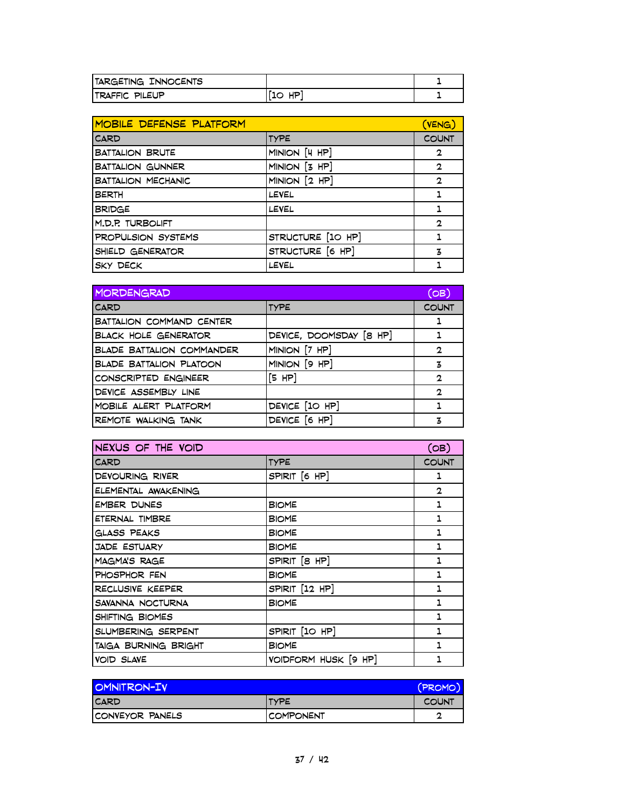| TARGETING INNOCENTS       |            |  |
|---------------------------|------------|--|
| <b>ITRAFFIC</b><br>PILEUP | HP<br>عة ا |  |

| MOBILE DEFENSE PLATFORM   |                   | (VENG)       |
|---------------------------|-------------------|--------------|
| <b>CARD</b>               | <b>TYPE</b>       | <b>COUNT</b> |
| <b>BATTALION BRUTE</b>    | MINION [4 HP]     | $\mathbf 2$  |
| <b>BATTALION GUNNER</b>   | MINION [3 HP]     | $\mathbf{2}$ |
| <b>BATTALION MECHANIC</b> | MINION [2 HP]     | $\mathbf{2}$ |
| <b>BERTH</b>              | LEVEL             | 1            |
| <b>BRIDGE</b>             | LEVEL             |              |
| M.D.P. TURBOLIFT          |                   | 2            |
| PROPULSION SYSTEMS        | STRUCTURE [10 HP] |              |
| SHIELD GENERATOR          | STRUCTURE [6 HP]  | 3            |
| <b>SKY DECK</b>           | LEVEL             |              |

| <b>MORDENGRAD</b>                |                         | (OB)         |
|----------------------------------|-------------------------|--------------|
| <b>CARD</b>                      | TYPE                    | <b>COUNT</b> |
| BATTALION COMMAND CENTER         |                         |              |
| <b>BLACK HOLE GENERATOR</b>      | DEVICE, DOOMSDAY [8 HP] |              |
| <b>BLADE BATTALION COMMANDER</b> | MINION [7 HP]           | $\mathbf{2}$ |
| <b>BLADE BATTALION PLATOON</b>   | MINION [9 HP]           | 3            |
| CONSCRIPTED ENGINEER             | [5 HP]                  | 2            |
| DEVICE ASSEMBLY LINE             |                         | $\mathbf 2$  |
| MOBILE ALERT PLATFORM            | DEVICE [10 HP]          |              |
| REMOTE WALKING TANK              | DEVICE [6 HP]           | 3            |

| NEXUS OF THE VOID    |                      | (OB)         |
|----------------------|----------------------|--------------|
| <b>CARD</b>          | <b>TYPE</b>          | <b>COUNT</b> |
| DEVOURING RIVER      | SPIRIT [6 HP]        | ı            |
| ELEMENTAL AWAKENING  |                      | $\mathbf{2}$ |
| <b>EMBER DUNES</b>   | <b>BIOME</b>         | 1            |
| ETERNAL TIMBRE       | <b>BIOME</b>         | 1            |
| <b>GLASS PEAKS</b>   | BIOME                | 1            |
| <b>JADE ESTUARY</b>  | <b>BIOME</b>         | 1            |
| MAGMA'S RAGE         | SPIRIT [8 HP]        | 1            |
| PHOSPHOR FEN         | <b>BIOME</b>         | 1            |
| RECLUSIVE KEEPER     | SPIRIT [12 HP]       | 1            |
| SAVANNA NOCTURNA     | BIOME                | 1            |
| SHIFTING BIOMES      |                      | 1            |
| SLUMBERING SERPENT   | SPIRIT [10 HP]       | 1            |
| TAIGA BURNING BRIGHT | <b>BIOME</b>         | 1            |
| <b>VOID SLAVE</b>    | VOIDFORM HUSK [9 HP] | 1            |

| OMNITRON-IV             |              | (PROMO)      |
|-------------------------|--------------|--------------|
| <b>ICARD</b>            | <b>ITYPE</b> | <b>COUNT</b> |
| <b>ICONVEYOR PANELS</b> | ICOMPONENT   | c            |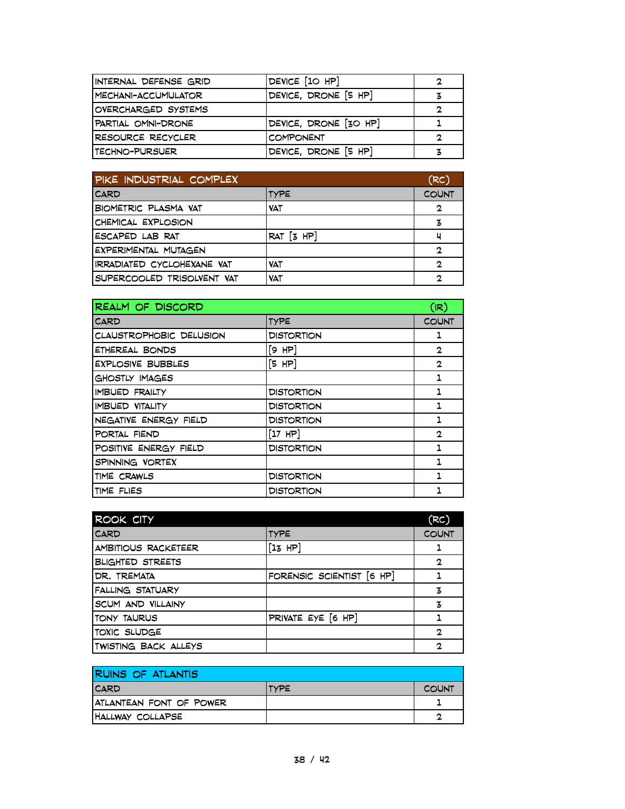| INTERNAL DEFENSE GRID | DEVICE [10 HP]        | 2 |
|-----------------------|-----------------------|---|
| MECHANI-ACCUMULATOR   | DEVICE, DRONE [5 HP]  | 3 |
| OVERCHARGED SYSTEMS   |                       | 2 |
| PARTIAL OMNI-DRONE    | DEVICE, DRONE [30 HP] |   |
| RESOURCE RECYCLER     | <b>COMPONENT</b>      | 2 |
| I TECHNO-PURSUER      | DEVICE, DRONE [5 HP]  | 3 |

| PIKE INDUSTRIAL COMPLEX     |                | (RC)         |
|-----------------------------|----------------|--------------|
| <b>CARD</b>                 | <b>TYPE</b>    | <b>COUNT</b> |
| <b>BIOMETRIC PLASMA VAT</b> | <b>VAT</b>     | 2            |
| CHEMICAL EXPLOSION          |                | 3            |
| ESCAPED LAB RAT             | $RAT$ $[3$ HP] | ц            |
| EXPERIMENTAL MUTAGEN        |                | 2            |
| IRRADIATED CYCLOHEXANE VAT  | <b>VAT</b>     | $\mathbf{c}$ |
| SUPERCOOLED TRISOLVENT VAT  | <b>VAT</b>     | ,            |

| <b>REALM OF DISCORD</b>  |                   | (IR)         |
|--------------------------|-------------------|--------------|
| <b>CARD</b>              | <b>TYPE</b>       | <b>COUNT</b> |
| CLAUSTROPHOBIC DELUSION  | <b>DISTORTION</b> | ı            |
| ETHEREAL BONDS           | [9 HP]            | $\mathbf{2}$ |
| <b>EXPLOSIVE BUBBLES</b> | [5 HP]            | $\mathbf{2}$ |
| GHOSTLY IMAGES           |                   | 1            |
| <b>IMBUED FRAILTY</b>    | <b>DISTORTION</b> | 1            |
| IMBUED VITALITY          | <b>DISTORTION</b> | 1            |
| NEGATIVE ENERGY FIELD    | <b>DISTORTION</b> |              |
| PORTAL FIEND             | $[17$ HP]         | 2            |
| POSITIVE ENERGY FIELD    | <b>DISTORTION</b> | 1.           |
| SPINNING VORTEX          |                   |              |
| TIME CRAWLS              | <b>DISTORTION</b> |              |
| TIME FLIES               | <b>DISTORTION</b> |              |

| <b>ROOK CITY</b>             |                           | (RC)         |
|------------------------------|---------------------------|--------------|
| <b>CARD</b>                  | <b>TYPE</b>               | <b>COUNT</b> |
| AMBITIOUS RACKETEER          | [13 HP]                   |              |
| <b>BLIGHTED STREETS</b>      |                           | $\mathbf{2}$ |
| DR. TREMATA                  | FORENSIC SCIENTIST [6 HP] |              |
| <b>FALLING STATUARY</b>      |                           | 3            |
| SCUM AND VILLAINY            |                           | 3            |
| <b>TONY TAURUS</b>           | PRIVATE EYE [6 HP]        |              |
| <b>TOXIC SLUDGE</b>          |                           | 2            |
| <b>ITWISTING BACK ALLEYS</b> |                           | 2            |

| RUINS OF ATLANTIS       |              |              |
|-------------------------|--------------|--------------|
| <b>ICARD</b>            | <b>ITYPE</b> | <b>COUNT</b> |
| ATLANTEAN FONT OF POWER |              |              |
| HALLWAY COLLAPSE        |              | o            |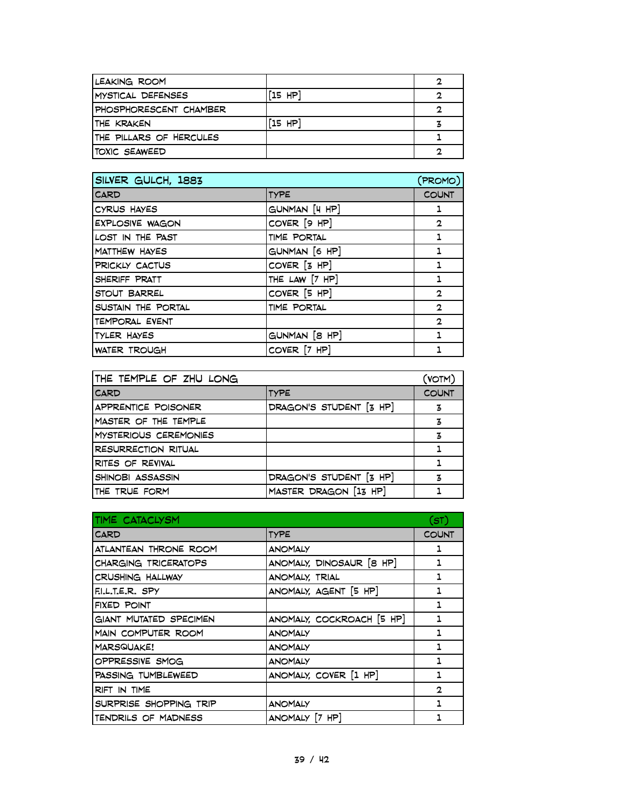| LEAKING ROOM             |           | 2 |
|--------------------------|-----------|---|
| <b>MYSTICAL DEFENSES</b> | $[15$ HP] |   |
| PHOSPHORESCENT CHAMBER   |           |   |
| ITHE KRAKEN              | $[15$ HP] |   |
| THE PILLARS OF HERCULES  |           |   |
| <b>TOXIC SEAWEED</b>     |           |   |

| SILVER GULCH, 1883     |                | (PROMO)        |
|------------------------|----------------|----------------|
| <b>CARD</b>            | <b>TYPE</b>    | <b>COUNT</b>   |
| CYRUS HAYES            | GUNMAN [4 HP]  | 1              |
| <b>EXPLOSIVE WAGON</b> | COVER [9 HP]   | $\overline{2}$ |
| LOST IN THE PAST       | TIME PORTAL    | 1              |
| MATTHEW HAYES          | GUNMAN [6 HP]  | 1              |
| PRICKLY CACTUS         | COVER [3 HP]   | 1              |
| SHERIFF PRATT          | THE LAW [7 HP] | 1              |
| STOUT BARREL           | COVER [5 HP]   | $\mathbf{2}$   |
| SUSTAIN THE PORTAL     | TIME PORTAL    | $\overline{2}$ |
| TEMPORAL EVENT         |                | $\overline{2}$ |
| TYLER HAYES            | GUNMAN [8 HP]  | 1              |
| WATER TROUGH           | COVER [7 HP]   |                |

| THE TEMPLE OF ZHU LONG     |                         | (VOTM)       |
|----------------------------|-------------------------|--------------|
| <b>CARD</b>                | <b>TYPE</b>             | <b>COUNT</b> |
| APPRENTICE POISONER        | DRAGON'S STUDENT [3 HP] | 3            |
| MASTER OF THE TEMPLE       |                         | 3            |
| MYSTERIOUS CEREMONIES      |                         | 3            |
| <b>RESURRECTION RITUAL</b> |                         |              |
| RITES OF REVIVAL           |                         |              |
| SHINOBI ASSASSIN           | DRAGON'S STUDENT [3 HP] | 3            |
| THE TRUE FORM              | MASTER DRAGON [13 HP]   |              |

| TIME CATACLYSM         |                           | (ST)         |
|------------------------|---------------------------|--------------|
| <b>CARD</b>            | <b>TYPE</b>               | <b>COUNT</b> |
| ATLANTEAN THRONE ROOM  | <b>ANOMALY</b>            | 1            |
| CHARGING TRICERATOPS   | ANOMALY, DINOSAUR [8 HP]  | 1            |
| CRUSHING HALLWAY       | ANOMALY, TRIAL            | 1            |
| F.L.T.E.R. SPY         | ANOMALY, AGENT [5 HP]     | ı            |
| FIXED POINT            |                           | 1            |
| GIANT MUTATED SPECIMEN | ANOMALY, COCKROACH [5 HP] | 1            |
| MAIN COMPUTER ROOM     | <b>ANOMALY</b>            | 1            |
| <b>MARSQUAKE!</b>      | <b>ANOMALY</b>            |              |
| OPPRESSIVE SMOG        | <b>ANOMALY</b>            | 1            |
| PASSING TUMBLEWEED     | ANOMALY, COVER [1 HP]     | 1            |
| RIFT IN TIME           |                           | $\mathbf{2}$ |
| SURPRISE SHOPPING TRIP | <b>ANOMALY</b>            | 1            |
| TENDRILS OF MADNESS    | ANOMALY [7 HP]            |              |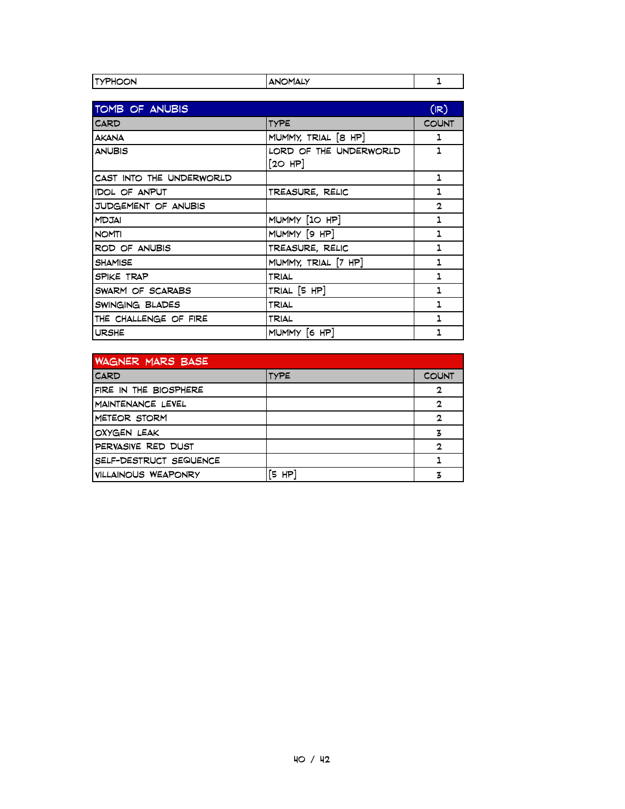| . .<br>חר<br>א ושתר |  |
|---------------------|--|

| TOMB OF ANUBIS           |                        | (IR)         |
|--------------------------|------------------------|--------------|
| <b>CARD</b>              | <b>TYPE</b>            | <b>COUNT</b> |
| <b>AKANA</b>             | MUMMY, TRIAL [8 HP]    | 1            |
| <b>ANUBIS</b>            | LORD OF THE UNDERWORLD | $\mathbf{1}$ |
|                          | [20 HP]                |              |
| CAST INTO THE UNDERWORLD |                        | 1            |
| <b>IDOL OF ANPUT</b>     | TREASURE, RELIC        | 1            |
| JUDGEMENT OF ANUBIS      |                        | $\mathbf{2}$ |
| <b>MDJAI</b>             | MUMMY [10 HP]          | 1            |
| <b>NOMTI</b>             | MUMMY [9 HP]           | 1            |
| ROD OF ANUBIS            | TREASURE, RELIC        | 1            |
| SHAMISE                  | MUMMY, TRIAL [7 HP]    | 1            |
| SPIKE TRAP               | TRIAL                  | 1            |
| SWARM OF SCARABS         | TRIAL [5 HP]           | 1            |
| SWINGING BLADES          | TRIAL                  | $\mathbf{1}$ |
| THE CHALLENGE OF FIRE    | TRIAL                  | 1            |
| <b>URSHE</b>             | MUMMY [6 HP]           | 1            |

| WAGNER MARS BASE       |             |              |
|------------------------|-------------|--------------|
| <b>CARD</b>            | <b>TYPE</b> | <b>COUNT</b> |
| FIRE IN THE BIOSPHERE  |             | $\mathbf{2}$ |
| MAINTENANCE LEVEL      |             | $\mathbf{2}$ |
| METEOR STORM           |             | 2            |
| OXYGEN LEAK            |             | 3            |
| PERVASIVE RED DUST     |             | $\mathbf{2}$ |
| SELF-DESTRUCT SEQUENCE |             |              |
| VILLAINOUS WEAPONRY    | HP<br>Έ.    |              |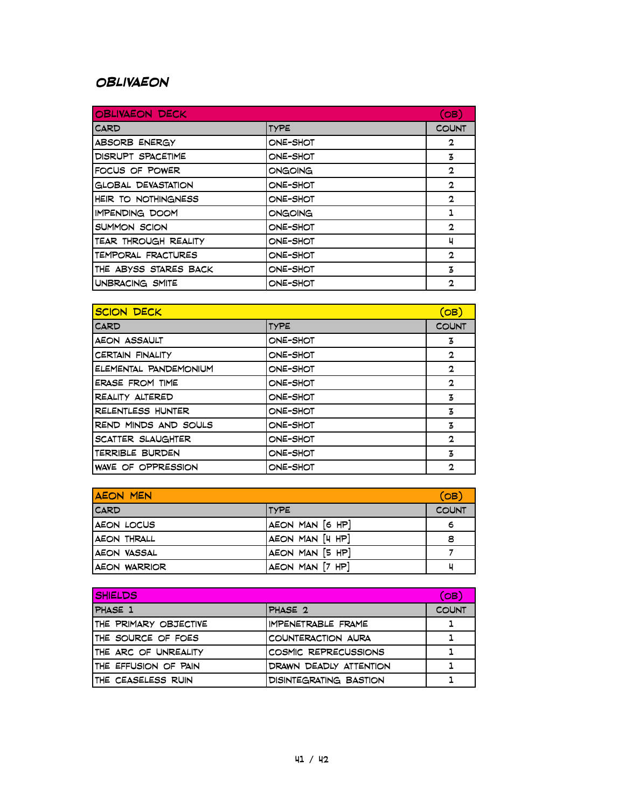#### **Oblivaeon**

| <b>OBLIVAEON DECK</b>     |             | (OB)         |
|---------------------------|-------------|--------------|
| <b>CARD</b>               | <b>TYPE</b> | <b>COUNT</b> |
| ABSORB ENERGY             | ONE-SHOT    | 2            |
| DISRUPT SPACETIME         | ONE-SHOT    | 3            |
| FOCUS OF POWER            | ONGOING     | $\mathbf{2}$ |
| <b>GLOBAL DEVASTATION</b> | ONE-SHOT    | $\mathbf{2}$ |
| HEIR TO NOTHINGNESS       | ONE-SHOT    | $\mathbf{2}$ |
| IMPENDING DOOM            | ONGOING     | 1            |
| SUMMON SCION              | ONE-SHOT    | $\mathbf{2}$ |
| TEAR THROUGH REALITY      | ONE-SHOT    | ч            |
| TEMPORAL FRACTURES        | ONE-SHOT    | $\mathbf{2}$ |
| THE ABYSS STARES BACK     | ONE-SHOT    | 3            |
| UNBRACING SMITE           | ONE-SHOT    | 2            |

| <b>SCION DECK</b>        |             | (ов)         |
|--------------------------|-------------|--------------|
| <b>CARD</b>              | <b>TYPE</b> | <b>COUNT</b> |
| AEON ASSAULT             | ONE-SHOT    | 3            |
| <b>CERTAIN FINALITY</b>  | ONE-SHOT    | 2            |
| ELEMENTAL PANDEMONIUM    | ONE-SHOT    | 2            |
| <b>ERASE FROM TIME</b>   | ONE-SHOT    | $\mathbf{2}$ |
| REALITY ALTERED          | ONE-SHOT    | 3            |
| <b>RELENTLESS HUNTER</b> | ONE-SHOT    | 3            |
| REND MINDS AND SOULS     | ONE-SHOT    | 3            |
| SCATTER SLAUGHTER        | ONE-SHOT    | $\mathbf{2}$ |
| TERRIBLE BURDEN          | ONE-SHOT    | 3            |
| WAVE OF OPPRESSION       | ONE-SHOT    | $\mathbf{2}$ |

| <b>AEON MEN</b> |                 | (OB)         |
|-----------------|-----------------|--------------|
| <b>CARD</b>     | <b>ITYPE</b>    | <b>COUNT</b> |
| AEON LOCUS      | AEON MAN [6 HP] | 6            |
| AEON THRALL     | AEON MAN [4 HP] | 8            |
| IAEON VASSAL    | AEON MAN [5 HP] |              |
| AEON WARRIOR    | AEON MAN [7 HP] | ц            |

| <b>SHIELDS</b>        |                               | (OB)         |
|-----------------------|-------------------------------|--------------|
| PHASE 1               | PHASE 2                       | <b>COUNT</b> |
| THE PRIMARY OBJECTIVE | IMPENETRABLE FRAME            |              |
| ITHE SOURCE OF FOES   | COUNTERACTION AURA            |              |
| ITHE ARC OF UNREALITY | COSMIC REPRECUSSIONS          |              |
| THE EFFUSION OF PAIN  | DRAWN DEADLY ATTENTION        |              |
| ITHE CEASELESS RUIN   | <b>DISINTEGRATING BASTION</b> |              |